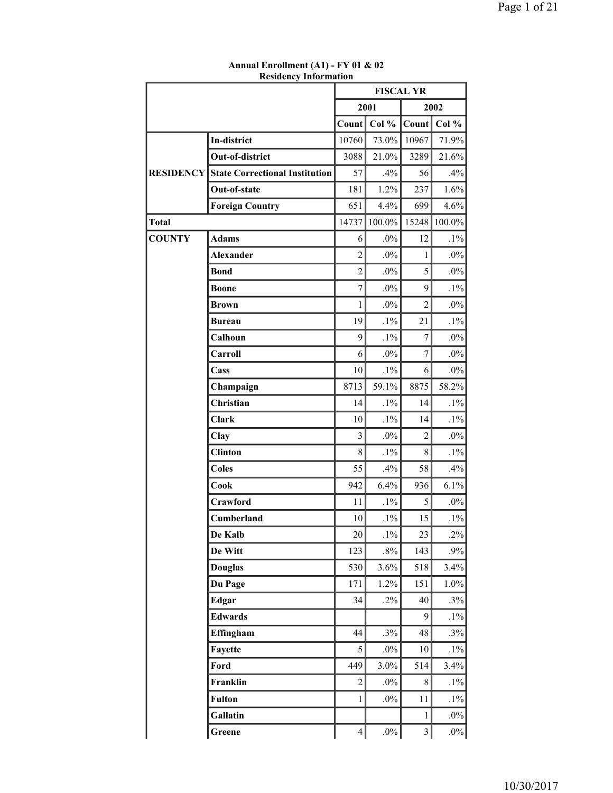|                  | resiaciicy<br>ппондайон               | <b>FISCAL YR</b> |         |                |        |
|------------------|---------------------------------------|------------------|---------|----------------|--------|
|                  |                                       |                  | 2001    |                | 2002   |
|                  |                                       | Count            | Col %   | Count          | Col %  |
|                  | In-district                           | 10760            | 73.0%   | 10967          | 71.9%  |
|                  | Out-of-district                       | 3088             | 21.0%   | 3289           | 21.6%  |
| <b>RESIDENCY</b> | <b>State Correctional Institution</b> | 57               | .4%     | 56             | .4%    |
|                  | Out-of-state                          | 181              | 1.2%    | 237            | 1.6%   |
|                  | <b>Foreign Country</b>                | 651              | 4.4%    | 699            | 4.6%   |
| <b>Total</b>     |                                       | 14737            | 100.0%  | 15248          | 100.0% |
| <b>COUNTY</b>    | <b>Adams</b>                          | 6                | $.0\%$  | 12             | $.1\%$ |
|                  | <b>Alexander</b>                      | $\overline{2}$   | $.0\%$  | $\mathbf{1}$   | $.0\%$ |
|                  | <b>Bond</b>                           | $\overline{2}$   | $.0\%$  | 5              | $.0\%$ |
|                  | <b>Boone</b>                          | $\overline{7}$   | $.0\%$  | 9              | $.1\%$ |
|                  | Brown                                 | $\mathbf{1}$     | $.0\%$  | $\overline{2}$ | $.0\%$ |
|                  | <b>Bureau</b>                         | 19               | $.1\%$  | 21             | $.1\%$ |
|                  | Calhoun                               | 9                | $.1\%$  | 7              | $.0\%$ |
|                  | Carroll                               | 6                | $.0\%$  | $\tau$         | $.0\%$ |
|                  | Cass                                  | 10               | $.1\%$  | 6              | $.0\%$ |
|                  | Champaign                             | 8713             | 59.1%   | 8875           | 58.2%  |
|                  | Christian                             | 14               | $.1\%$  | 14             | $.1\%$ |
|                  | <b>Clark</b>                          | 10               | $.1\%$  | 14             | $.1\%$ |
|                  | Clay                                  | 3                | $.0\%$  | $\overline{c}$ | $.0\%$ |
|                  | <b>Clinton</b>                        | 8                | $.1\%$  | 8              | $.1\%$ |
|                  | <b>Coles</b>                          | 55               | .4%     | 58             | $.4\%$ |
|                  | Cook                                  | 942              | 6.4%    | 936            | 6.1%   |
|                  | Crawford                              | 11               | $.1\%$  | 5              | $.0\%$ |
|                  | Cumberland                            | 10               | $.1\%$  | 15             | $.1\%$ |
|                  | De Kalb                               | 20               | $.1\%$  | 23             | $.2\%$ |
|                  | De Witt                               | 123              | $.8\%$  | 143            | $.9\%$ |
|                  | <b>Douglas</b>                        | 530              | 3.6%    | 518            | 3.4%   |
|                  | Du Page                               | 171              | 1.2%    | 151            | 1.0%   |
|                  | Edgar                                 | 34               | $.2\%$  | 40             | $.3\%$ |
|                  | <b>Edwards</b>                        |                  |         | 9              | $.1\%$ |
|                  | Effingham                             | 44               | .3%     | 48             | .3%    |
|                  | Fayette                               | 5                | $.0\%$  | 10             | $.1\%$ |
|                  | Ford                                  | 449              | $3.0\%$ | 514            | 3.4%   |
|                  | Franklin                              | $\overline{c}$   | $.0\%$  | 8              | $.1\%$ |
|                  | <b>Fulton</b>                         | $\mathbf{1}$     | $.0\%$  | 11             | $.1\%$ |
|                  | Gallatin                              |                  |         | $\mathbf{1}$   | $.0\%$ |
|                  | Greene                                | $\overline{4}$   | $.0\%$  | $\mathfrak{Z}$ | $.0\%$ |

#### **Annual Enrollment (A1) - FY 01 & 02 Residency Information**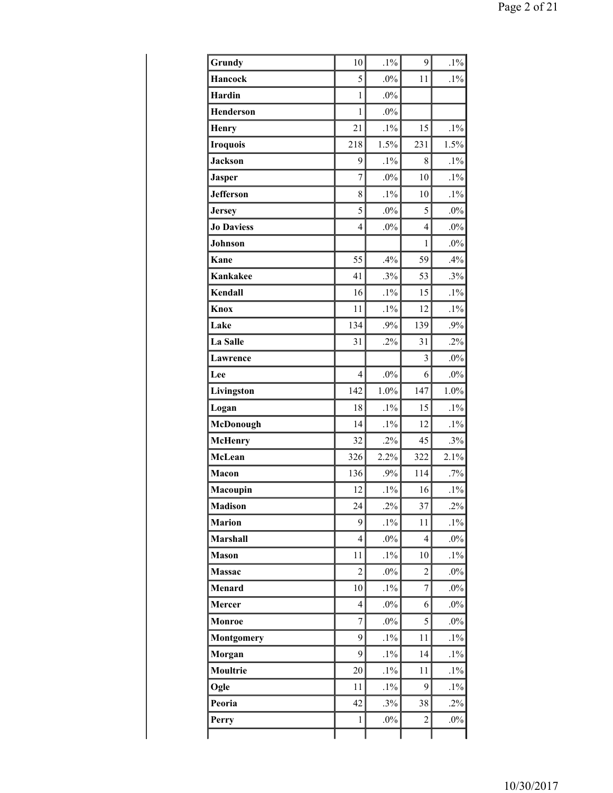| Grundy            | 10             | $.1\%$ | 9                       | $.1\%$ |
|-------------------|----------------|--------|-------------------------|--------|
| <b>Hancock</b>    | 5              | $.0\%$ | 11                      | $.1\%$ |
| Hardin            | 1              | $.0\%$ |                         |        |
| <b>Henderson</b>  | $\mathbf{1}$   | $.0\%$ |                         |        |
| Henry             | 21             | $.1\%$ | 15                      | $.1\%$ |
| <b>Iroquois</b>   | 218            | 1.5%   | 231                     | 1.5%   |
| <b>Jackson</b>    | 9              | $.1\%$ | 8                       | $.1\%$ |
| <b>Jasper</b>     | $\overline{7}$ | $.0\%$ | 10                      | $.1\%$ |
| <b>Jefferson</b>  | 8              | $.1\%$ | 10                      | $.1\%$ |
| <b>Jersey</b>     | 5              | $.0\%$ | 5                       | $.0\%$ |
| <b>Jo Daviess</b> | $\overline{4}$ | $.0\%$ | $\overline{4}$          | $.0\%$ |
| Johnson           |                |        | $\mathbf{1}$            | $.0\%$ |
| Kane              | 55             | .4%    | 59                      | .4%    |
| <b>Kankakee</b>   | 41             | .3%    | 53                      | .3%    |
| Kendall           | 16             | $.1\%$ | 15                      | $.1\%$ |
| Knox              | 11             | $.1\%$ | 12                      | $.1\%$ |
| Lake              | 134            | .9%    | 139                     | $.9\%$ |
| La Salle          | 31             | $.2\%$ | 31                      | $.2\%$ |
| Lawrence          |                |        | 3                       | $.0\%$ |
| Lee               | $\overline{4}$ | $.0\%$ | 6                       | $.0\%$ |
| Livingston        | 142            | 1.0%   | 147                     | 1.0%   |
| Logan             | 18             | $.1\%$ | 15                      | $.1\%$ |
| McDonough         | 14             | $.1\%$ | 12                      | $.1\%$ |
| <b>McHenry</b>    | 32             | $.2\%$ | 45                      | .3%    |
| McLean            | 326            | 2.2%   | 322                     | 2.1%   |
| Macon             | 136            | .9%    | 114                     | $.7\%$ |
| Macoupin          | 12             | $.1\%$ | 16                      | $.1\%$ |
| <b>Madison</b>    | 24             | $.2\%$ | 37                      | $.2\%$ |
| <b>Marion</b>     | 9              | $.1\%$ | 11                      | $.1\%$ |
| Marshall          | $\overline{4}$ | $.0\%$ | $\overline{\mathbf{4}}$ | $.0\%$ |
| <b>Mason</b>      | 11             | $.1\%$ | 10                      | $.1\%$ |
| Massac            | $\overline{c}$ | $.0\%$ | $\overline{2}$          | $.0\%$ |
| Menard            | 10             | $.1\%$ | $\overline{7}$          | $.0\%$ |
| <b>Mercer</b>     | $\overline{4}$ | $.0\%$ | 6                       | $.0\%$ |
| Monroe            | $\overline{7}$ | $.0\%$ | 5                       | $.0\%$ |
| <b>Montgomery</b> | 9              | $.1\%$ | 11                      | $.1\%$ |
| Morgan            | 9              | $.1\%$ | 14                      | $.1\%$ |
| <b>Moultrie</b>   | $20\,$         | $.1\%$ | 11                      | $.1\%$ |
| Ogle              | 11             | $.1\%$ | 9                       | $.1\%$ |
| Peoria            | 42             | .3%    | 38                      | $.2\%$ |
| Perry             | $\mathbf{1}$   | $.0\%$ | $\overline{c}$          | $.0\%$ |
|                   |                |        |                         |        |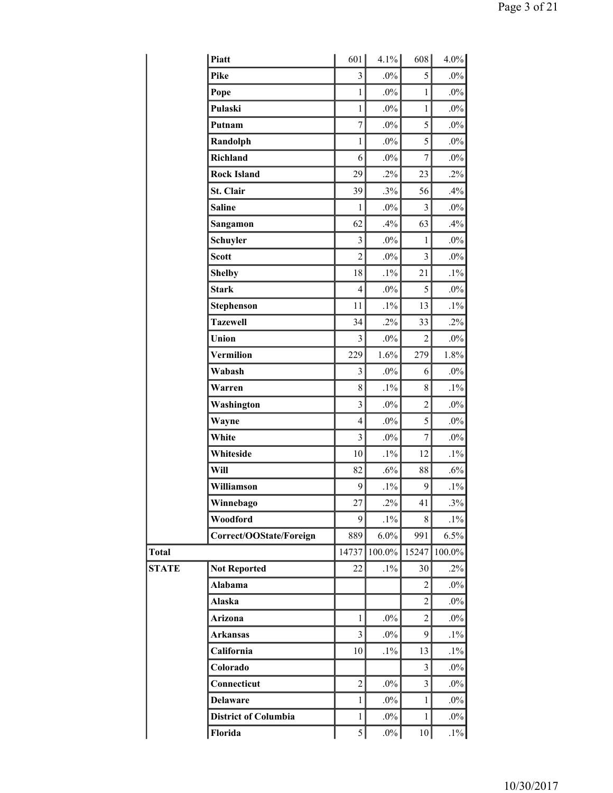|              | Piatt                       | 601                     | $4.1\%$ | 608            | 4.0%   |
|--------------|-----------------------------|-------------------------|---------|----------------|--------|
|              | Pike                        | $\overline{\mathbf{3}}$ | $.0\%$  | 5              | $.0\%$ |
|              | Pope                        | $\mathbf{1}$            | $.0\%$  | $\mathbf{1}$   | $.0\%$ |
|              | Pulaski                     | $\mathbf{1}$            | $.0\%$  | $\mathbf{1}$   | $.0\%$ |
|              | Putnam                      | $\overline{7}$          | $.0\%$  | 5              | $.0\%$ |
|              | Randolph                    | $\mathbf{1}$            | $.0\%$  | 5              | $.0\%$ |
|              | Richland                    | 6                       | $.0\%$  | $\overline{7}$ | $.0\%$ |
|              | <b>Rock Island</b>          | 29                      | $.2\%$  | 23             | $.2\%$ |
|              | St. Clair                   | 39                      | .3%     | 56             | .4%    |
|              | <b>Saline</b>               | 1                       | $.0\%$  | 3              | $.0\%$ |
|              | Sangamon                    | 62                      | .4%     | 63             | .4%    |
|              | Schuyler                    | 3                       | $.0\%$  | $\mathbf{1}$   | $.0\%$ |
|              | <b>Scott</b>                | $\overline{2}$          | $.0\%$  | 3              | $.0\%$ |
|              | <b>Shelby</b>               | 18                      | $.1\%$  | 21             | $.1\%$ |
|              | <b>Stark</b>                | $\overline{4}$          | $.0\%$  | 5              | $.0\%$ |
|              | <b>Stephenson</b>           | 11                      | $.1\%$  | 13             | $.1\%$ |
|              | <b>Tazewell</b>             | 34                      | $.2\%$  | 33             | $.2\%$ |
|              | Union                       | $\overline{\mathbf{3}}$ | $.0\%$  | $\overline{c}$ | $.0\%$ |
|              | Vermilion                   | 229                     | 1.6%    | 279            | 1.8%   |
|              | Wabash                      | 3                       | $.0\%$  | 6              | $.0\%$ |
|              | Warren                      | 8                       | $.1\%$  | 8              | $.1\%$ |
|              | Washington                  | $\overline{\mathbf{3}}$ | $.0\%$  | $\overline{2}$ | $.0\%$ |
|              | Wayne                       | $\overline{4}$          | $.0\%$  | 5              | $.0\%$ |
|              | White                       | $\overline{\mathbf{3}}$ | $.0\%$  | $\tau$         | $.0\%$ |
|              | Whiteside                   | 10                      | $.1\%$  | 12             | $.1\%$ |
|              | Will                        | 82                      | $.6\%$  | 88             | $.6\%$ |
|              | Williamson                  | 9                       | $.1\%$  | 9              | $.1\%$ |
|              | Winnebago                   | 27                      | $.2\%$  | 41             | $.3\%$ |
|              | Woodford                    | 9                       | $.1\%$  | 8              | $.1\%$ |
|              | Correct/OOState/Foreign     | 889                     | 6.0%    | 991            | 6.5%   |
| <b>Total</b> |                             | 14737                   | 100.0%  | 15247          | 100.0% |
| <b>STATE</b> | <b>Not Reported</b>         | 22                      | $.1\%$  | 30             | $.2\%$ |
|              | Alabama                     |                         |         | 2              | $.0\%$ |
|              | Alaska                      |                         |         | $\overline{2}$ | $.0\%$ |
|              | Arizona                     | $\mathbf{1}$            | $.0\%$  | $\overline{c}$ | $.0\%$ |
|              | <b>Arkansas</b>             | $\overline{3}$          | $.0\%$  | 9              | $.1\%$ |
|              | California                  | 10                      | $.1\%$  | 13             | $.1\%$ |
|              | Colorado                    |                         |         | 3              | $.0\%$ |
|              | Connecticut                 | $\overline{2}$          | $.0\%$  | 3              | $.0\%$ |
|              | <b>Delaware</b>             | 1                       | $.0\%$  | $\mathbf{1}$   | $.0\%$ |
|              | <b>District of Columbia</b> | $\mathbf{1}$            | $.0\%$  | $\mathbf{1}$   | $.0\%$ |
|              | Florida                     | 5                       | $.0\%$  | $10\,$         | $.1\%$ |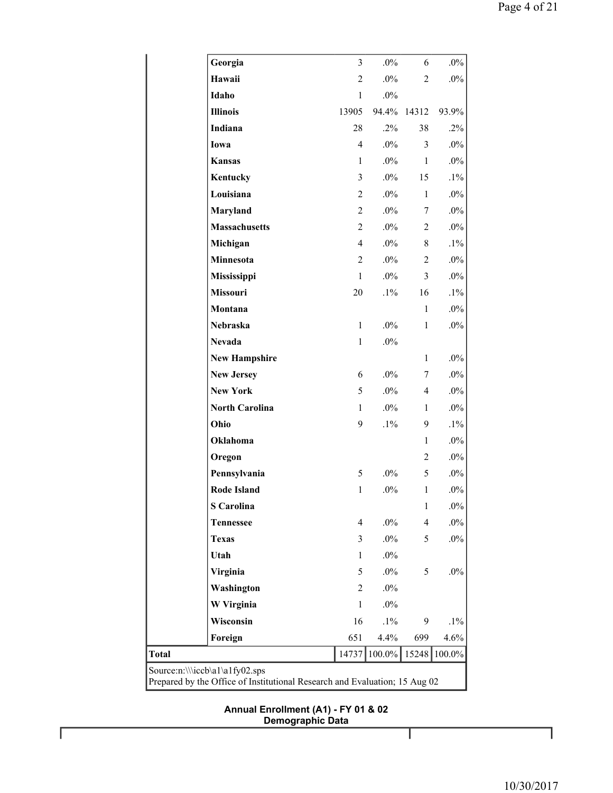|                                                                                                              | Georgia               | $\overline{3}$ | $.0\%$ | 6              | $.0\%$ |  |
|--------------------------------------------------------------------------------------------------------------|-----------------------|----------------|--------|----------------|--------|--|
|                                                                                                              | Hawaii                | $\overline{2}$ | $.0\%$ | $\overline{2}$ | $.0\%$ |  |
|                                                                                                              | Idaho                 | $\mathbf{1}$   | $.0\%$ |                |        |  |
|                                                                                                              | <b>Illinois</b>       | 13905          | 94.4%  | 14312          | 93.9%  |  |
|                                                                                                              | Indiana               | 28             | $.2\%$ | 38             | .2%    |  |
|                                                                                                              | Iowa                  | $\overline{4}$ | $.0\%$ | 3              | $.0\%$ |  |
|                                                                                                              | <b>Kansas</b>         | $\mathbf{1}$   | $.0\%$ | $\mathbf{1}$   | $.0\%$ |  |
|                                                                                                              | Kentucky              | 3              | $.0\%$ | 15             | $.1\%$ |  |
|                                                                                                              | Louisiana             | $\overline{c}$ | $.0\%$ | $\mathbf{1}$   | $.0\%$ |  |
|                                                                                                              | Maryland              | $\overline{2}$ | $.0\%$ | 7              | $.0\%$ |  |
|                                                                                                              | <b>Massachusetts</b>  | $\overline{2}$ | $.0\%$ | $\overline{2}$ | $.0\%$ |  |
|                                                                                                              | Michigan              | $\overline{4}$ | $.0\%$ | 8              | $.1\%$ |  |
|                                                                                                              | Minnesota             | $\overline{2}$ | $.0\%$ | $\overline{c}$ | $.0\%$ |  |
|                                                                                                              | Mississippi           | $\mathbf{1}$   | $.0\%$ | $\overline{3}$ | $.0\%$ |  |
|                                                                                                              | Missouri              | 20             | $.1\%$ | 16             | $.1\%$ |  |
|                                                                                                              | Montana               |                |        | $\mathbf{1}$   | $.0\%$ |  |
|                                                                                                              | Nebraska              | $\mathbf{1}$   | $.0\%$ | $\mathbf{1}$   | $.0\%$ |  |
|                                                                                                              | <b>Nevada</b>         | $\mathbf{1}$   | $.0\%$ |                |        |  |
|                                                                                                              | <b>New Hampshire</b>  |                |        | $\mathbf{1}$   | $.0\%$ |  |
|                                                                                                              | <b>New Jersey</b>     | 6              | $.0\%$ | $\tau$         | $.0\%$ |  |
|                                                                                                              | <b>New York</b>       | 5              | $.0\%$ | $\overline{4}$ | $.0\%$ |  |
|                                                                                                              | <b>North Carolina</b> | $\mathbf{1}$   | $.0\%$ | 1              | $.0\%$ |  |
|                                                                                                              | Ohio                  | 9              | $.1\%$ | 9              | $.1\%$ |  |
|                                                                                                              | Oklahoma              |                |        | $\mathbf{1}$   | $.0\%$ |  |
|                                                                                                              | Oregon                |                |        | 2              | $.0\%$ |  |
|                                                                                                              | Pennsylvania          | 5              | $.0\%$ | 5              | $.0\%$ |  |
|                                                                                                              | <b>Rode Island</b>    | $\mathbf{1}$   | $.0\%$ | $\mathbf{1}$   | $.0\%$ |  |
|                                                                                                              | <b>S</b> Carolina     |                |        | $\mathbf{1}$   | $.0\%$ |  |
|                                                                                                              | <b>Tennessee</b>      | $\overline{4}$ | $.0\%$ | $\overline{4}$ | $.0\%$ |  |
|                                                                                                              | <b>Texas</b>          | 3              | $.0\%$ | 5              | $.0\%$ |  |
|                                                                                                              | Utah                  | $\mathbf{1}$   | $.0\%$ |                |        |  |
|                                                                                                              | Virginia              | 5              | $.0\%$ | 5              | $.0\%$ |  |
|                                                                                                              | Washington            | $\overline{2}$ | $.0\%$ |                |        |  |
|                                                                                                              | W Virginia            | $\mathbf{1}$   | $.0\%$ |                |        |  |
|                                                                                                              | Wisconsin             | 16             | $.1\%$ | 9              | $.1\%$ |  |
|                                                                                                              | Foreign               | 651            | 4.4%   | 699            | 4.6%   |  |
| <b>Total</b>                                                                                                 | 14737                 | 100.0%         | 15248  | 100.0%         |        |  |
| Source:n:\\\iccb\a1\a1fy02.sps<br>Prepared by the Office of Institutional Research and Evaluation; 15 Aug 02 |                       |                |        |                |        |  |

**Annual Enrollment (A1) - FY 01 & 02 Demographic Data**

Т

Г

1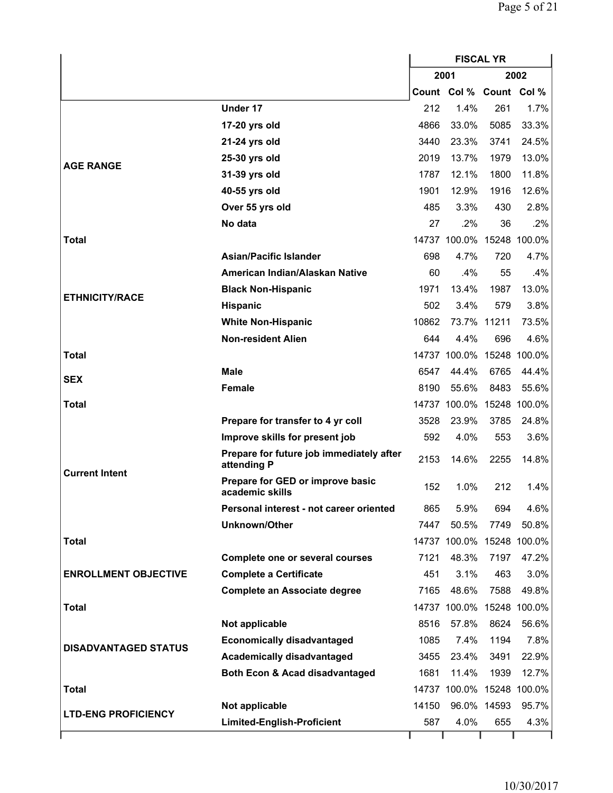|                             |                                                         | <b>FISCAL YR</b> |                           |             |                           |
|-----------------------------|---------------------------------------------------------|------------------|---------------------------|-------------|---------------------------|
|                             |                                                         |                  | 2001                      |             | 2002                      |
|                             |                                                         |                  | Count Col % Count Col %   |             |                           |
|                             | Under 17                                                | 212              | 1.4%                      | 261         | 1.7%                      |
|                             | 17-20 yrs old                                           | 4866             | 33.0%                     | 5085        | 33.3%                     |
|                             | 21-24 yrs old                                           | 3440             | 23.3%                     | 3741        | 24.5%                     |
|                             | 25-30 yrs old                                           | 2019             | 13.7%                     | 1979        | 13.0%                     |
| <b>AGE RANGE</b>            | 31-39 yrs old                                           | 1787             | 12.1%                     | 1800        | 11.8%                     |
|                             | 40-55 yrs old                                           | 1901             | 12.9%                     | 1916        | 12.6%                     |
|                             | Over 55 yrs old                                         | 485              | 3.3%                      | 430         | 2.8%                      |
|                             | No data                                                 | 27               | $.2\%$                    | 36          | $.2\%$                    |
| <b>Total</b>                |                                                         |                  | 14737 100.0% 15248 100.0% |             |                           |
|                             | <b>Asian/Pacific Islander</b>                           | 698              | 4.7%                      | 720         | 4.7%                      |
|                             | American Indian/Alaskan Native                          | 60               | .4%                       | 55          | .4%                       |
|                             | <b>Black Non-Hispanic</b>                               | 1971             | 13.4%                     | 1987        | 13.0%                     |
| <b>ETHNICITY/RACE</b>       | <b>Hispanic</b>                                         | 502              | 3.4%                      | 579         | 3.8%                      |
|                             | <b>White Non-Hispanic</b>                               | 10862            |                           | 73.7% 11211 | 73.5%                     |
|                             | <b>Non-resident Alien</b>                               | 644              | 4.4%                      | 696         | 4.6%                      |
| <b>Total</b>                |                                                         |                  | 14737 100.0% 15248 100.0% |             |                           |
| <b>SEX</b>                  | <b>Male</b>                                             | 6547             | 44.4%                     | 6765        | 44.4%                     |
|                             | <b>Female</b>                                           | 8190             | 55.6%                     | 8483        | 55.6%                     |
| <b>Total</b>                |                                                         |                  | 14737 100.0% 15248 100.0% |             |                           |
|                             | Prepare for transfer to 4 yr coll                       | 3528             | 23.9%                     | 3785        | 24.8%                     |
|                             | Improve skills for present job                          | 592              | 4.0%                      | 553         | 3.6%                      |
| <b>Current Intent</b>       | Prepare for future job immediately after<br>attending P | 2153             | 14.6%                     | 2255        | 14.8%                     |
|                             | Prepare for GED or improve basic<br>academic skills     | 152              | 1.0%                      | 212         | 1.4%                      |
|                             | Personal interest - not career oriented                 | 865              | 5.9%                      | 694         | 4.6%                      |
|                             | <b>Unknown/Other</b>                                    | 7447             | 50.5%                     | 7749        | 50.8%                     |
| <b>Total</b>                |                                                         |                  |                           |             | 14737 100.0% 15248 100.0% |
|                             | <b>Complete one or several courses</b>                  | 7121             | 48.3%                     | 7197        | 47.2%                     |
| <b>ENROLLMENT OBJECTIVE</b> | <b>Complete a Certificate</b>                           | 451              | 3.1%                      | 463         | 3.0%                      |
|                             | <b>Complete an Associate degree</b>                     | 7165             | 48.6%                     | 7588        | 49.8%                     |
| <b>Total</b>                |                                                         |                  | 14737 100.0%              |             | 15248 100.0%              |
|                             | Not applicable                                          | 8516             | 57.8%                     | 8624        | 56.6%                     |
| <b>DISADVANTAGED STATUS</b> | <b>Economically disadvantaged</b>                       | 1085             | 7.4%                      | 1194        | 7.8%                      |
|                             | <b>Academically disadvantaged</b>                       | 3455             | 23.4%                     | 3491        | 22.9%                     |
|                             | Both Econ & Acad disadvantaged                          | 1681             | 11.4%                     | 1939        | 12.7%                     |
| <b>Total</b>                |                                                         |                  | 14737 100.0% 15248 100.0% |             |                           |
| <b>LTD-ENG PROFICIENCY</b>  | Not applicable                                          | 14150            |                           | 96.0% 14593 | 95.7%                     |
|                             | <b>Limited-English-Proficient</b>                       | 587              | 4.0%                      | 655         | 4.3%                      |
|                             |                                                         |                  |                           |             |                           |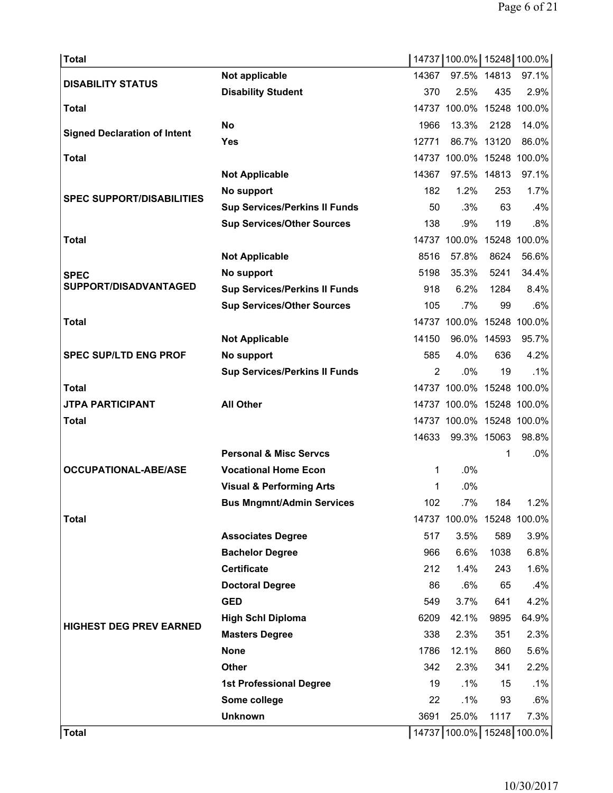| <b>Total</b>                        |                                      |       | 14737 100.0% 15248 100.0% |      |        |
|-------------------------------------|--------------------------------------|-------|---------------------------|------|--------|
| <b>DISABILITY STATUS</b>            | Not applicable                       | 14367 | 97.5% 14813               |      | 97.1%  |
|                                     | <b>Disability Student</b>            | 370   | 2.5%                      | 435  | 2.9%   |
| <b>Total</b>                        |                                      |       | 14737 100.0% 15248 100.0% |      |        |
| <b>Signed Declaration of Intent</b> | No                                   | 1966  | 13.3%                     | 2128 | 14.0%  |
|                                     | <b>Yes</b>                           | 12771 | 86.7% 13120               |      | 86.0%  |
| <b>Total</b>                        |                                      |       | 14737 100.0% 15248 100.0% |      |        |
|                                     | <b>Not Applicable</b>                | 14367 | 97.5% 14813               |      | 97.1%  |
| <b>SPEC SUPPORT/DISABILITIES</b>    | No support                           | 182   | 1.2%                      | 253  | 1.7%   |
|                                     | <b>Sup Services/Perkins II Funds</b> | 50    | .3%                       | 63   | .4%    |
|                                     | <b>Sup Services/Other Sources</b>    | 138   | .9%                       | 119  | .8%    |
| <b>Total</b>                        |                                      |       | 14737 100.0% 15248 100.0% |      |        |
|                                     | <b>Not Applicable</b>                | 8516  | 57.8%                     | 8624 | 56.6%  |
| <b>SPEC</b>                         | No support                           | 5198  | 35.3%                     | 5241 | 34.4%  |
| SUPPORT/DISADVANTAGED               | <b>Sup Services/Perkins II Funds</b> | 918   | 6.2%                      | 1284 | 8.4%   |
|                                     | <b>Sup Services/Other Sources</b>    | 105   | .7%                       | 99   | .6%    |
| <b>Total</b>                        |                                      |       | 14737 100.0% 15248 100.0% |      |        |
|                                     | <b>Not Applicable</b>                | 14150 | 96.0% 14593               |      | 95.7%  |
| <b>SPEC SUP/LTD ENG PROF</b>        | No support                           | 585   | 4.0%                      | 636  | 4.2%   |
|                                     | <b>Sup Services/Perkins II Funds</b> | 2     | $.0\%$                    | 19   | $.1\%$ |
| <b>Total</b>                        |                                      |       | 14737 100.0% 15248 100.0% |      |        |
| <b>JTPA PARTICIPANT</b>             | <b>All Other</b>                     |       | 14737 100.0% 15248 100.0% |      |        |
| <b>Total</b>                        |                                      |       | 14737 100.0% 15248 100.0% |      |        |
|                                     |                                      | 14633 | 99.3% 15063               |      | 98.8%  |
|                                     | <b>Personal &amp; Misc Servcs</b>    |       |                           | 1    | .0%    |
| <b>OCCUPATIONAL-ABE/ASE</b>         | <b>Vocational Home Econ</b>          | 1     | .0%                       |      |        |
|                                     | <b>Visual &amp; Performing Arts</b>  | 1     | .0%                       |      |        |
|                                     | <b>Bus Mngmnt/Admin Services</b>     | 102   | .7%                       | 184  | 1.2%   |
| <b>Total</b>                        |                                      |       | 14737 100.0% 15248 100.0% |      |        |
|                                     | <b>Associates Degree</b>             | 517   | 3.5%                      | 589  | 3.9%   |
|                                     | <b>Bachelor Degree</b>               | 966   | 6.6%                      | 1038 | 6.8%   |
|                                     | <b>Certificate</b>                   | 212   | 1.4%                      | 243  | 1.6%   |
|                                     | <b>Doctoral Degree</b>               | 86    | $.6\%$                    | 65   | .4%    |
|                                     | <b>GED</b>                           | 549   | 3.7%                      | 641  | 4.2%   |
| <b>HIGHEST DEG PREV EARNED</b>      | <b>High Schl Diploma</b>             | 6209  | 42.1%                     | 9895 | 64.9%  |
|                                     | <b>Masters Degree</b>                | 338   | 2.3%                      | 351  | 2.3%   |
|                                     | <b>None</b>                          | 1786  | 12.1%                     | 860  | 5.6%   |
|                                     | <b>Other</b>                         | 342   | 2.3%                      | 341  | 2.2%   |
|                                     | <b>1st Professional Degree</b>       | 19    | $.1\%$                    | 15   | .1%    |
|                                     | Some college                         | 22    | $.1\%$                    | 93   | .6%    |
|                                     | <b>Unknown</b>                       | 3691  | 25.0%                     | 1117 | 7.3%   |
| <b>Total</b>                        |                                      |       | 14737 100.0% 15248 100.0% |      |        |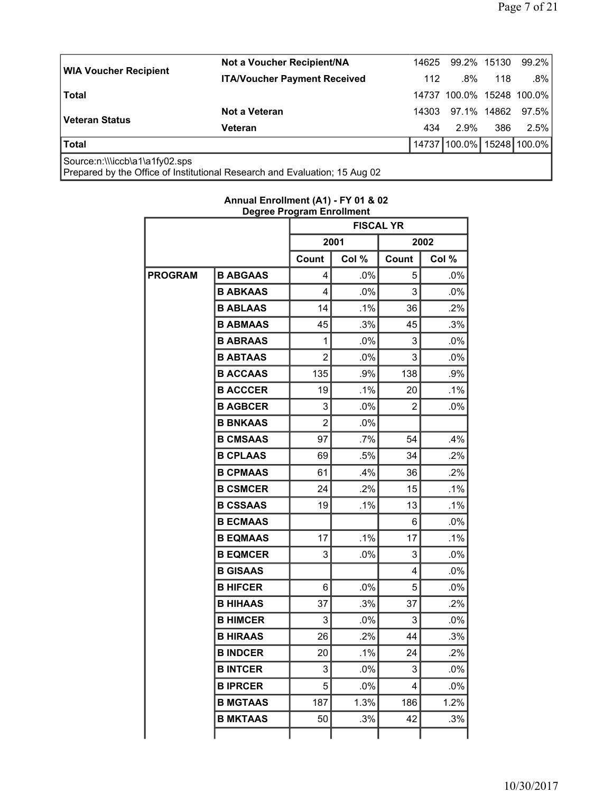I

|                                | Not a Voucher Recipient/NA          | 14625 | 99.2% 15130               |     | 99.2%        |
|--------------------------------|-------------------------------------|-------|---------------------------|-----|--------------|
| <b>WIA Voucher Recipient</b>   | <b>ITA/Voucher Payment Received</b> | 112   | .8%                       | 118 | ا 8%.        |
| <b>Total</b>                   |                                     |       | 14737 100.0% 15248 100.0% |     |              |
|                                | Not a Veteran                       | 14303 | 97.1% 14862               |     | 97.5% l      |
| <b>Veteran Status</b>          | Veteran                             | 434   | 2.9%                      | 386 | $2.5\%$      |
| Total                          |                                     |       | 14737 100.0%              |     | 15248 100.0% |
| Source:n:\\\iccb\a1\a1fy02.sps |                                     |       |                           |     |              |

Prepared by the Office of Institutional Research and Evaluation; 15 Aug 02

|                |                 | Degree Frogram Enromment<br><b>FISCAL YR</b> |        |       |        |  |
|----------------|-----------------|----------------------------------------------|--------|-------|--------|--|
|                |                 |                                              | 2001   |       | 2002   |  |
|                |                 | Col %<br>Count                               |        | Count | Col %  |  |
| <b>PROGRAM</b> | <b>B ABGAAS</b> | 4                                            | .0%    | 5     | .0%    |  |
|                | <b>B ABKAAS</b> | 4                                            | .0%    | 3     | .0%    |  |
|                | <b>B ABLAAS</b> | 14                                           | $.1\%$ | 36    | .2%    |  |
|                | <b>B ABMAAS</b> | 45                                           | .3%    | 45    | .3%    |  |
|                | <b>B ABRAAS</b> | 1                                            | $.0\%$ | 3     | .0%    |  |
|                | <b>B ABTAAS</b> | $\overline{2}$                               | .0%    | 3     | .0%    |  |
|                | <b>B ACCAAS</b> | 135                                          | .9%    | 138   | .9%    |  |
|                | <b>B ACCCER</b> | 19                                           | .1%    | 20    | .1%    |  |
|                | <b>B AGBCER</b> | 3                                            | .0%    | 2     | .0%    |  |
|                | <b>B BNKAAS</b> | $\overline{2}$                               | .0%    |       |        |  |
|                | <b>B CMSAAS</b> | 97                                           | $.7\%$ | 54    | .4%    |  |
|                | <b>B CPLAAS</b> | 69                                           | .5%    | 34    | .2%    |  |
|                | <b>B CPMAAS</b> | 61                                           | .4%    | 36    | .2%    |  |
|                | <b>B CSMCER</b> | 24                                           | .2%    | 15    | $.1\%$ |  |
|                | <b>B CSSAAS</b> | 19                                           | .1%    | 13    | .1%    |  |
|                | <b>B ECMAAS</b> |                                              |        | 6     | .0%    |  |
|                | <b>B EQMAAS</b> | 17                                           | $.1\%$ | 17    | .1%    |  |
|                | <b>B EQMCER</b> | 3                                            | .0%    | 3     | .0%    |  |
|                | <b>B GISAAS</b> |                                              |        | 4     | .0%    |  |
|                | <b>B HIFCER</b> | 6                                            | .0%    | 5     | $.0\%$ |  |
|                | <b>B HIHAAS</b> | 37                                           | .3%    | 37    | .2%    |  |
|                | <b>B HIMCER</b> | 3                                            | .0%    | 3     | .0%    |  |
|                | <b>B HIRAAS</b> | 26                                           | .2%    | 44    | .3%    |  |
|                | <b>B INDCER</b> | 20                                           | .1%    | 24    | .2%    |  |
|                | <b>B INTCER</b> | 3                                            | .0%    | 3     | .0%    |  |
|                | <b>B IPRCER</b> | 5                                            | .0%    | 4     | .0%    |  |
|                | <b>B MGTAAS</b> | 187                                          | 1.3%   | 186   | 1.2%   |  |
|                | <b>B MKTAAS</b> | 50                                           | .3%    | 42    | .3%    |  |
|                |                 |                                              |        |       |        |  |

# **Annual Enrollment (A1) - FY 01 & 02 Degree Program Enrollment**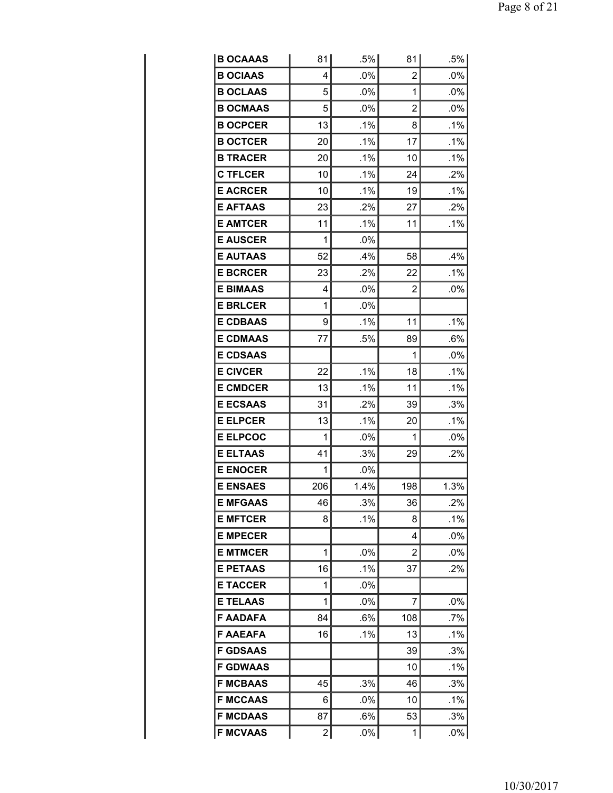| <b>B OCAAAS</b> | 81  | $.5\%$ | 81  | .5%    |
|-----------------|-----|--------|-----|--------|
| <b>B OCIAAS</b> | 4   | $.0\%$ | 2   | .0%    |
| <b>B OCLAAS</b> | 5   | .0%    | 1   | .0%    |
| <b>B OCMAAS</b> | 5   | $.0\%$ | 2   | .0%    |
| <b>B OCPCER</b> | 13  | .1%    | 8   | .1%    |
| <b>B OCTCER</b> | 20  | .1%    | 17  | $.1\%$ |
| <b>B TRACER</b> | 20  | .1%    | 10  | .1%    |
| <b>C TFLCER</b> | 10  | $.1\%$ | 24  | .2%    |
| <b>E ACRCER</b> | 10  | .1%    | 19  | .1%    |
| <b>E AFTAAS</b> | 23  | .2%    | 27  | .2%    |
| <b>E AMTCER</b> | 11  | $.1\%$ | 11  | $.1\%$ |
| <b>E AUSCER</b> | 1   | $.0\%$ |     |        |
| <b>E AUTAAS</b> | 52  | .4%    | 58  | $.4\%$ |
| <b>E BCRCER</b> | 23  | .2%    | 22  | .1%    |
| <b>E BIMAAS</b> | 4   | .0%    | 2   | .0%    |
| <b>E BRLCER</b> | 1   | $.0\%$ |     |        |
| <b>E CDBAAS</b> | 9   | .1%    | 11  | .1%    |
| <b>E CDMAAS</b> | 77  | .5%    | 89  | .6%    |
| <b>E CDSAAS</b> |     |        | 1   | $.0\%$ |
| <b>E CIVCER</b> | 22  | .1%    | 18  | $.1\%$ |
| <b>E CMDCER</b> | 13  | .1%    | 11  | $.1\%$ |
| <b>E ECSAAS</b> | 31  | .2%    | 39  | .3%    |
| <b>E ELPCER</b> | 13  | $.1\%$ | 20  | $.1\%$ |
| <b>E ELPCOC</b> | 1   | .0%    | 1   | .0%    |
| <b>E ELTAAS</b> | 41  | .3%    | 29  | .2%    |
| <b>E ENOCER</b> | 1   | .0%    |     |        |
| <b>E ENSAES</b> | 206 | 1.4%   | 198 | 1.3%   |
| <b>E MFGAAS</b> | 46  | .3%    | 36  | .2%    |
| <b>E MFTCER</b> | 8   | .1%    | 8   | .1%    |
| <b>E MPECER</b> |     |        | 4   | .0%    |
| <b>E MTMCER</b> | 1   | $.0\%$ | 2   | $.0\%$ |
| <b>E PETAAS</b> | 16  | .1%    | 37  | $.2\%$ |
| <b>E TACCER</b> | 1   | .0%    |     |        |
| <b>E TELAAS</b> | 1   | .0%    | 7   | $.0\%$ |
| <b>F AADAFA</b> | 84  | $.6\%$ | 108 | .7%    |
| <b>F AAEAFA</b> | 16  | .1%    | 13  | .1%    |
| <b>F GDSAAS</b> |     |        | 39  | .3%    |
| <b>F GDWAAS</b> |     |        | 10  | .1%    |
| <b>F MCBAAS</b> | 45  | .3%    | 46  | .3%    |
| <b>F MCCAAS</b> | 6   | .0%    | 10  | .1%    |
| <b>F MCDAAS</b> | 87  | .6%    | 53  | .3%    |
| <b>F MCVAAS</b> | 2   | $.0\%$ | 1   | $.0\%$ |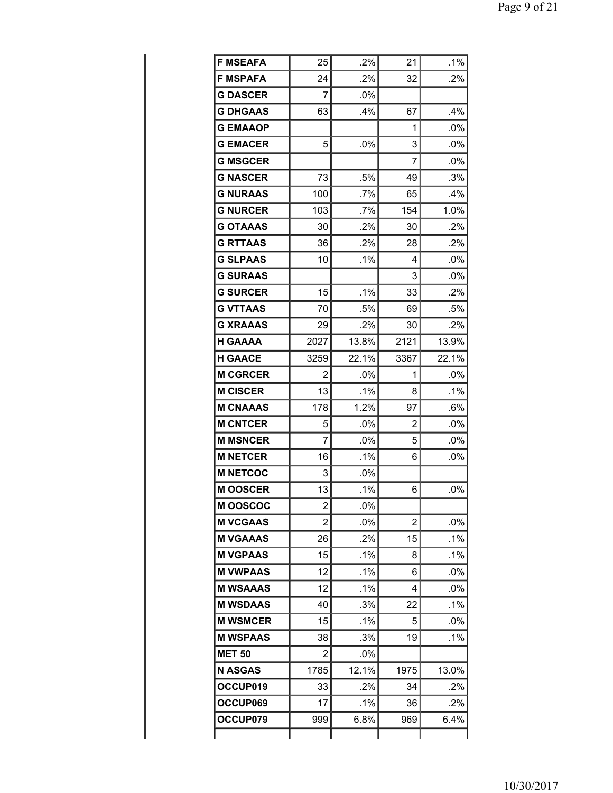| <b>F MSEAFA</b> | 25             | .2%     | 21             | $.1\%$ |
|-----------------|----------------|---------|----------------|--------|
| <b>F MSPAFA</b> | 24             | .2%     | 32             | $.2\%$ |
| <b>G DASCER</b> | 7              | $.0\%$  |                |        |
| <b>G DHGAAS</b> | 63             | .4%     | 67             | .4%    |
| <b>G EMAAOP</b> |                |         | 1              | .0%    |
| <b>G EMACER</b> | 5              | $.0\%$  | 3              | .0%    |
| <b>G MSGCER</b> |                |         | 7              | $.0\%$ |
| <b>G NASCER</b> | 73             | .5%     | 49             | .3%    |
| <b>G NURAAS</b> | 100            | .7%     | 65             | $.4\%$ |
| <b>G NURCER</b> | 103            | .7%     | 154            | 1.0%   |
| <b>G OTAAAS</b> | 30             | $.2\%$  | 30             | $.2\%$ |
| <b>G RTTAAS</b> | 36             | .2%     | 28             | .2%    |
| G SLPAAS        | 10             | $.1\%$  | 4              | $.0\%$ |
| <b>G SURAAS</b> |                |         | 3              | .0%    |
| <b>G SURCER</b> | 15             | $.1\%$  | 33             | $.2\%$ |
| <b>G VTTAAS</b> | 70             | .5%     | 69             | .5%    |
| <b>G XRAAAS</b> | 29             | .2%     | 30             | $.2\%$ |
| <b>H GAAAA</b>  | 2027           | 13.8%   | 2121           | 13.9%  |
| <b>H GAACE</b>  | 3259           | 22.1%   | 3367           | 22.1%  |
| <b>M CGRCER</b> | $\overline{2}$ | $.0\%$  | 1              | $.0\%$ |
| <b>M CISCER</b> | 13             | $.1\%$  | 8              | $.1\%$ |
| <b>M CNAAAS</b> | 178            | 1.2%    | 97             | .6%    |
| <b>M CNTCER</b> | 5              | $.0\%$  | $\overline{2}$ | $.0\%$ |
| <b>M MSNCER</b> | 7              | .0%     | 5              | $.0\%$ |
| <b>M NETCER</b> | 16             | $.1\%$  | 6              | $.0\%$ |
| <b>M NETCOC</b> | 3              | $.0\%$  |                |        |
| <b>MOOSCER</b>  | 13             | .1%     | 6              | .0%    |
| <b>MOOSCOC</b>  | $\overline{2}$ | .0%     |                |        |
| <b>M VCGAAS</b> | 2              | .0%     | 2              | $.0\%$ |
| <b>M VGAAAS</b> | 26             | $.2\%$  | 15             | .1%    |
| <b>M VGPAAS</b> | 15             | .1%     | 8              | .1%    |
| <b>M VWPAAS</b> | 12             | $.1\%$  | 6              | .0%    |
| <b>M WSAAAS</b> | 12             | $.1\%$  | 4              | .0%    |
| <b>M WSDAAS</b> | 40             | .3%     | 22             | .1%    |
| <b>M WSMCER</b> | 15             | .1%     | 5              | .0%    |
| <b>M WSPAAS</b> | 38             | $.3\%$  | 19             | .1%    |
| <b>MET 50</b>   | 2              | $.0\%$  |                |        |
| <b>N ASGAS</b>  | 1785           | 12.1%   | 1975           | 13.0%  |
| OCCUP019        | 33             | .2%     | 34             | $.2\%$ |
| OCCUP069        | 17             | $.1\%$  | 36             | .2%    |
| OCCUP079        | 999            | $6.8\%$ | 969            | 6.4%   |
|                 |                |         |                |        |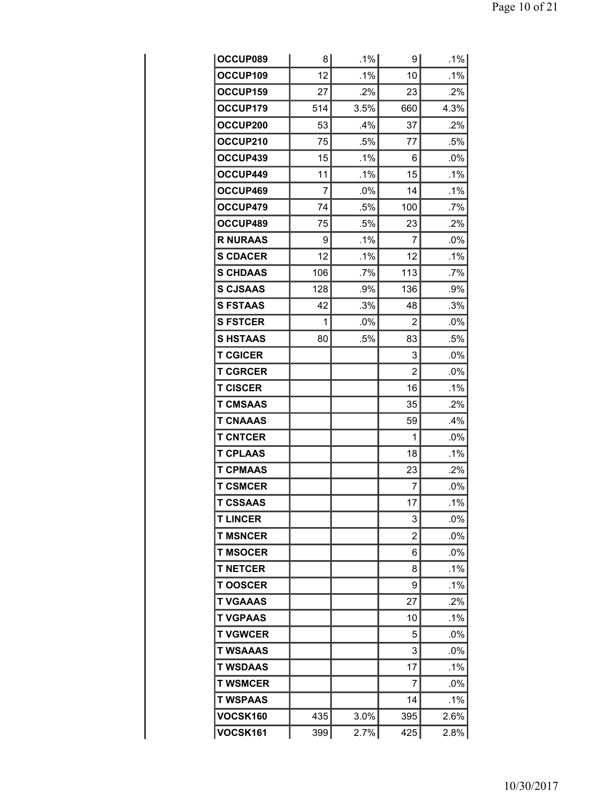| <b>OCCUP089</b> | 8   | .1%    | 9              | .1%    |
|-----------------|-----|--------|----------------|--------|
| OCCUP109        | 12  | .1%    | 10             | .1%    |
| OCCUP159        | 27  | $.2\%$ | 23             | $.2\%$ |
| OCCUP179        | 514 | 3.5%   | 660            | 4.3%   |
| OCCUP200        | 53  | .4%    | 37             | .2%    |
| OCCUP210        | 75  | .5%    | 77             | .5%    |
| OCCUP439        | 15  | $.1\%$ | 6              | $.0\%$ |
| OCCUP449        | 11  | $.1\%$ | 15             | .1%    |
| OCCUP469        | 7   | .0%    | 14             | $.1\%$ |
| OCCUP479        | 74  | .5%    | 100            | .7%    |
| OCCUP489        | 75  | .5%    | 23             | $.2\%$ |
| <b>R NURAAS</b> | 9   | .1%    | 7              | .0%    |
| <b>S CDACER</b> | 12  | $.1\%$ | 12             | $.1\%$ |
| <b>S CHDAAS</b> | 106 | $.7\%$ | 113            | .7%    |
| <b>S CJSAAS</b> | 128 | .9%    | 136            | .9%    |
| <b>S FSTAAS</b> | 42  | .3%    | 48             | .3%    |
| <b>S FSTCER</b> | 1   | .0%    | $\overline{2}$ | .0%    |
| <b>S HSTAAS</b> | 80  | .5%    | 83             | .5%    |
| <b>T CGICER</b> |     |        | 3              | .0%    |
| <b>T CGRCER</b> |     |        | 2              | .0%    |
| <b>T CISCER</b> |     |        | 16             | .1%    |
| <b>T CMSAAS</b> |     |        | 35             | $.2\%$ |
| <b>T CNAAAS</b> |     |        | 59             | $.4\%$ |
| <b>T CNTCER</b> |     |        | 1              | .0%    |
| <b>T CPLAAS</b> |     |        | 18             | .1%    |
| <b>T CPMAAS</b> |     |        | 23             | $.2\%$ |
| <b>T CSMCER</b> |     |        | 7              | .0%    |
| <b>T CSSAAS</b> |     |        | 17             | .1%    |
| <b>TLINCER</b>  |     |        | 3              | $.0\%$ |
| <b>T MSNCER</b> |     |        | 2              | .0%    |
| <b>T MSOCER</b> |     |        | 6              | $.0\%$ |
| <b>T NETCER</b> |     |        | 8              | $.1\%$ |
| <b>TOOSCER</b>  |     |        | 9              | $.1\%$ |
| <b>T VGAAAS</b> |     |        | 27             | $.2\%$ |
| <b>T VGPAAS</b> |     |        | 10             | .1%    |
| <b>T VGWCER</b> |     |        | 5              | .0%    |
| <b>T WSAAAS</b> |     |        | 3              | $.0\%$ |
| <b>T WSDAAS</b> |     |        | 17             | .1%    |
| <b>T WSMCER</b> |     |        | 7              | .0%    |
| <b>T WSPAAS</b> |     |        | 14             | .1%    |
| <b>VOCSK160</b> | 435 | 3.0%   | 395            | 2.6%   |
| <b>VOCSK161</b> | 399 | 2.7%   | 425            | 2.8%   |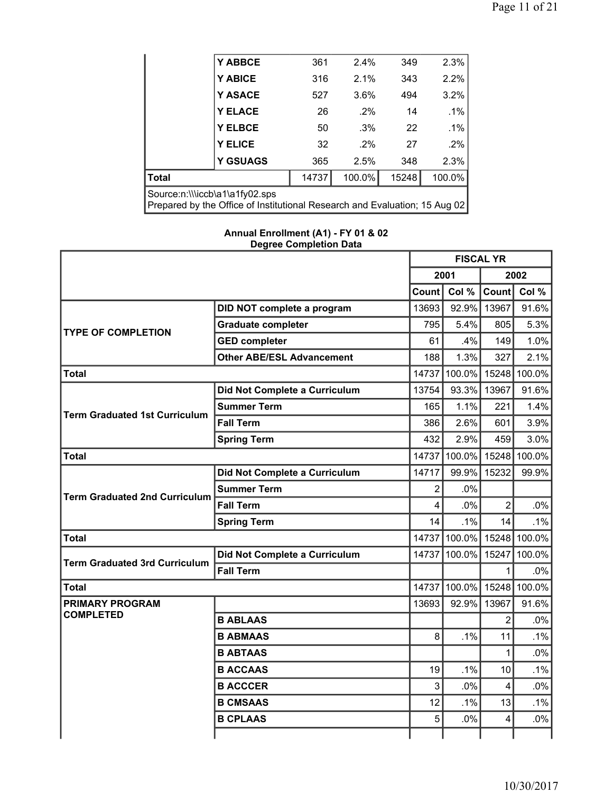|                                                                                                              | Y ABBCE         | 361   | 2.4%   | 349   | 2.3%   |  |
|--------------------------------------------------------------------------------------------------------------|-----------------|-------|--------|-------|--------|--|
|                                                                                                              | Y ABICE         | 316   | 2.1%   | 343   | 2.2%   |  |
|                                                                                                              | <b>Y ASACE</b>  | 527   | 3.6%   | 494   | 3.2%   |  |
|                                                                                                              | <b>Y ELACE</b>  | 26    | $.2\%$ | 14    | .1%    |  |
|                                                                                                              | <b>Y ELBCE</b>  | 50    | $.3\%$ | 22    | .1%    |  |
|                                                                                                              | <b>Y ELICE</b>  | 32    | $.2\%$ | 27    | .2%    |  |
|                                                                                                              | <b>Y GSUAGS</b> | 365   | 2.5%   | 348   | 2.3%   |  |
| <b>Total</b>                                                                                                 |                 | 14737 | 100.0% | 15248 | 100.0% |  |
| Source:n:\\\iccb\a1\a1fy02.sps<br>Prepared by the Office of Institutional Research and Evaluation; 15 Aug 02 |                 |       |        |       |        |  |

## **Annual Enrollment (A1) - FY 01 & 02 Degree Completion Data**

|                                      |                                  | <b>FISCAL YR</b> |                           |                |        |
|--------------------------------------|----------------------------------|------------------|---------------------------|----------------|--------|
|                                      |                                  | 2001             |                           | 2002           |        |
|                                      |                                  | Count l          | Col %                     | Count          | Col %  |
|                                      | DID NOT complete a program       | 13693            |                           | 92.9% 13967    | 91.6%  |
| <b>TYPE OF COMPLETION</b>            | <b>Graduate completer</b>        | 795              | 5.4%                      | 805            | 5.3%   |
|                                      | <b>GED completer</b>             | 61               | .4%                       | 149            | 1.0%   |
|                                      | <b>Other ABE/ESL Advancement</b> | 188              | 1.3%                      | 327            | 2.1%   |
| Total                                |                                  |                  | 14737 100.0% 15248 100.0% |                |        |
|                                      | Did Not Complete a Curriculum    | 13754            |                           | 93.3% 13967    | 91.6%  |
| <b>Term Graduated 1st Curriculum</b> | <b>Summer Term</b>               | 165              | 1.1%                      | 221            | 1.4%   |
|                                      | <b>Fall Term</b>                 | 386              | 2.6%                      | 601            | 3.9%   |
|                                      | <b>Spring Term</b>               | 432              | 2.9%                      | 459            | 3.0%   |
| <b>Total</b>                         |                                  | 14737            | 100.0% 15248              |                | 100.0% |
|                                      | Did Not Complete a Curriculum    | 14717            |                           | 99.9% 15232    | 99.9%  |
|                                      | <b>Summer Term</b>               | $\overline{2}$   | .0%                       |                |        |
| <b>Term Graduated 2nd Curriculum</b> | <b>Fall Term</b>                 | 4                | .0%                       | $\overline{2}$ | .0%    |
|                                      | <b>Spring Term</b>               | 14               | .1%                       | 14             | .1%    |
| <b>Total</b>                         |                                  |                  | 14737 100.0% 15248        |                | 100.0% |
| <b>Term Graduated 3rd Curriculum</b> | Did Not Complete a Curriculum    | 14737            | 100.0%                    | 15247          | 100.0% |
|                                      | <b>Fall Term</b>                 |                  |                           | 1              | .0%    |
| Total                                |                                  |                  | 14737 100.0% 15248 100.0% |                |        |
| <b>PRIMARY PROGRAM</b>               |                                  | 13693            | 92.9%                     | 13967          | 91.6%  |
| <b>COMPLETED</b>                     | <b>B ABLAAS</b>                  |                  |                           | 2              | $.0\%$ |
|                                      | <b>B ABMAAS</b>                  | 8                | .1%                       | 11             | .1%    |
|                                      | <b>B ABTAAS</b>                  |                  |                           | 1              | .0%    |
|                                      | <b>B ACCAAS</b>                  | 19               | .1%                       | 10             | .1%    |
|                                      | <b>B ACCCER</b>                  | 3                | .0%                       | 4              | .0%    |
|                                      | <b>B CMSAAS</b>                  | 12               | .1%                       | 13             | .1%    |
|                                      | <b>B CPLAAS</b>                  | 5                | .0%                       | 4              | .0%    |
|                                      |                                  |                  |                           |                |        |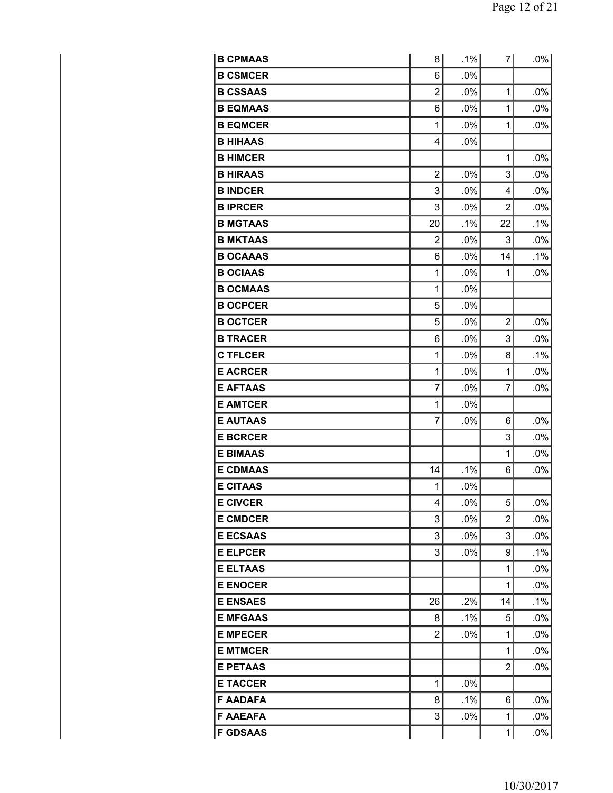| <b>B CPMAAS</b> | 8              | .1%    | 71             | .0%    |
|-----------------|----------------|--------|----------------|--------|
| <b>B CSMCER</b> | 6              | $.0\%$ |                |        |
| <b>B CSSAAS</b> | $\overline{2}$ | .0%    | 1              | .0%    |
| <b>B EQMAAS</b> | 6              | $.0\%$ | 1              | .0%    |
| <b>B EQMCER</b> | 1              | $.0\%$ | 1              | .0%    |
| <b>B HIHAAS</b> | 4              | .0%    |                |        |
| <b>B HIMCER</b> |                |        | 1              | .0%    |
| <b>B HIRAAS</b> | 2              | $.0\%$ | 3              | .0%    |
| <b>B INDCER</b> | 3              | .0%    | 4              | .0%    |
| <b>BIPRCER</b>  | 3              | .0%    | 2              | .0%    |
| <b>B MGTAAS</b> | 20             | .1%    | 22             | .1%    |
| <b>B MKTAAS</b> | 2              | $.0\%$ | 3              | .0%    |
| <b>B OCAAAS</b> | 6              | $.0\%$ | 14             | .1%    |
| <b>B OCIAAS</b> | 1              | .0%    | 1              | .0%    |
| <b>B OCMAAS</b> | 1              | .0%    |                |        |
| <b>B OCPCER</b> | 5              | $.0\%$ |                |        |
| <b>B OCTCER</b> | 5              | .0%    | $\overline{2}$ | .0%    |
| <b>B TRACER</b> | 6              | .0%    | 3              | .0%    |
| <b>C TFLCER</b> | 1              | .0%    | 8              | $.1\%$ |
| <b>E ACRCER</b> | 1              | $.0\%$ | 1              | .0%    |
| <b>E AFTAAS</b> | 7              | $.0\%$ | 7              | .0%    |
| <b>E AMTCER</b> | 1              | .0%    |                |        |
| <b>E AUTAAS</b> | 7              | $.0\%$ | 6              | .0%    |
| <b>E BCRCER</b> |                |        | 3              | .0%    |
| <b>E BIMAAS</b> |                |        | 1              | .0%    |
| <b>E CDMAAS</b> | 14             | .1%    | 6              | .0%    |
| <b>E CITAAS</b> | 1              | .0%    |                |        |
| <b>E CIVCER</b> | 4              | $.0\%$ | 5              | $.0\%$ |
| <b>E CMDCER</b> | 3              | .0%    | $\overline{2}$ | .0%    |
| <b>E ECSAAS</b> | 3              | .0%    | 3              | .0%    |
| <b>E ELPCER</b> | 3              | $.0\%$ | 9              | .1%    |
| <b>E ELTAAS</b> |                |        | 1              | .0%    |
| <b>E ENOCER</b> |                |        | 1              | .0%    |
| <b>E ENSAES</b> | 26             | .2%    | 14             | .1%    |
| <b>E MFGAAS</b> | 8              | $.1\%$ | 5              | .0%    |
| <b>E MPECER</b> | $\overline{2}$ | .0%    | 1              | $.0\%$ |
| <b>E MTMCER</b> |                |        | 1              | .0%    |
| <b>E PETAAS</b> |                |        | 2              | .0%    |
| <b>E TACCER</b> | 1              | $.0\%$ |                |        |
| <b>F AADAFA</b> | 8              | $.1\%$ | 6              | .0%    |
| <b>F AAEAFA</b> | 3              | .0%    | 1              | .0%    |
| <b>F GDSAAS</b> |                |        | 1              | $.0\%$ |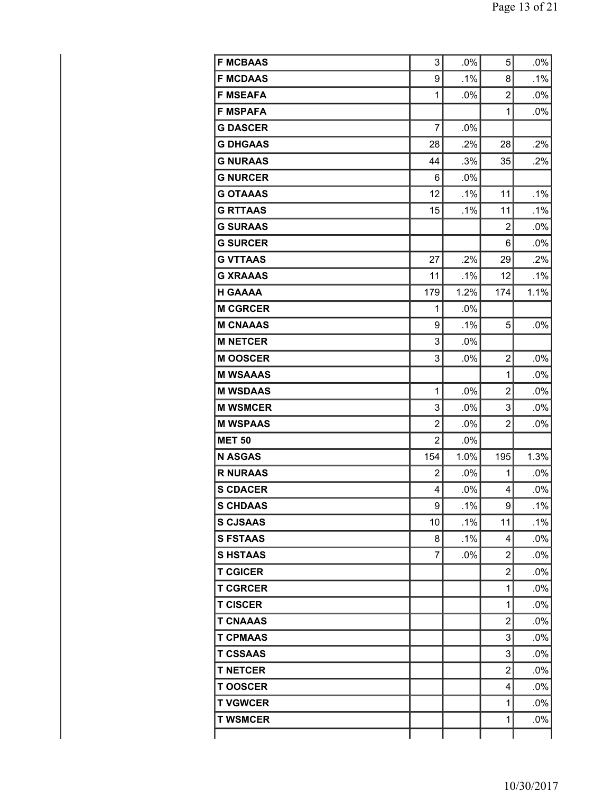| <b>F MCBAAS</b> | 3              | .0%    | 5              | .0%    |
|-----------------|----------------|--------|----------------|--------|
| <b>F MCDAAS</b> | 9              | $.1\%$ | 8              | $.1\%$ |
| <b>F MSEAFA</b> | 1              | .0%    | $\overline{2}$ | .0%    |
| <b>F MSPAFA</b> |                |        | $\mathbf{1}$   | .0%    |
| <b>G DASCER</b> | 7              | .0%    |                |        |
| <b>G DHGAAS</b> | 28             | .2%    | 28             | .2%    |
| <b>G NURAAS</b> | 44             | .3%    | 35             | .2%    |
| <b>G NURCER</b> | 6              | .0%    |                |        |
| <b>G OTAAAS</b> | 12             | .1%    | 11             | $.1\%$ |
| <b>G RTTAAS</b> | 15             | .1%    | 11             | .1%    |
| <b>G SURAAS</b> |                |        | $\overline{2}$ | .0%    |
| <b>G SURCER</b> |                |        | 6              | .0%    |
| <b>G VTTAAS</b> | 27             | .2%    | 29             | .2%    |
| <b>G XRAAAS</b> | 11             | .1%    | 12             | .1%    |
| <b>H GAAAA</b>  | 179            | 1.2%   | 174            | 1.1%   |
| <b>M CGRCER</b> | 1              | .0%    |                |        |
| <b>M CNAAAS</b> | 9              | $.1\%$ | 5              | .0%    |
| <b>M NETCER</b> | 3              | $.0\%$ |                |        |
| <b>M OOSCER</b> | 3              | .0%    | $\overline{2}$ | .0%    |
| <b>M WSAAAS</b> |                |        | $\mathbf{1}$   | .0%    |
| <b>M WSDAAS</b> | 1              | .0%    | 2              | .0%    |
| <b>M WSMCER</b> | 3              | .0%    | 3              | .0%    |
| <b>M WSPAAS</b> | $\overline{2}$ | .0%    | $\overline{2}$ | .0%    |
| <b>MET 50</b>   | $\overline{2}$ | .0%    |                |        |
| <b>N ASGAS</b>  | 154            | 1.0%   | 195            | 1.3%   |
| <b>R NURAAS</b> | 2              | .0%    | 1              | $.0\%$ |
| <b>S CDACER</b> | 4              | .0%    | 4              | .0%    |
| <b>S CHDAAS</b> | 9              | $.1\%$ | 9              | $.1\%$ |
| <b>S CJSAAS</b> | 10             | .1%    | 11             | .1%    |
| <b>S FSTAAS</b> | 8              | $.1\%$ | 4              | $.0\%$ |
| <b>SHSTAAS</b>  | 7              | .0%    | $\overline{2}$ | .0%    |
| <b>T CGICER</b> |                |        | $\overline{2}$ | $.0\%$ |
| <b>T CGRCER</b> |                |        | $\mathbf{1}$   | $.0\%$ |
| <b>T CISCER</b> |                |        | $\mathbf{1}$   | .0%    |
| <b>T CNAAAS</b> |                |        | $\overline{2}$ | $.0\%$ |
| <b>T CPMAAS</b> |                |        | 3              | $.0\%$ |
| <b>T CSSAAS</b> |                |        | 3              | .0%    |
| <b>T NETCER</b> |                |        | $\overline{2}$ | $.0\%$ |
| <b>TOOSCER</b>  |                |        | 4              | $.0\%$ |
| <b>T VGWCER</b> |                |        | $\mathbf{1}$   | $.0\%$ |
| <b>T WSMCER</b> |                |        | 1              | $.0\%$ |
|                 |                |        |                |        |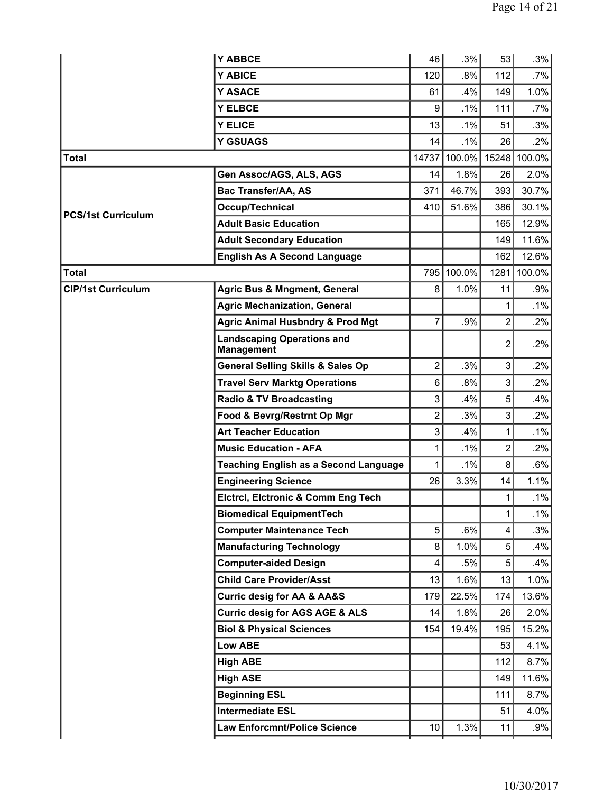| .8%<br>.7%<br>Y ABICE<br>120<br>112<br>Y ASACE<br>61<br>.4%<br>1.0%<br>149<br><b>Y ELBCE</b><br>9<br>$.1\%$<br>111<br>$.7\%$<br><b>Y ELICE</b><br>13<br>.1%<br>.3%<br>51<br>.1%<br>26<br>.2%<br><b>Y GSUAGS</b><br>14<br>100.0%<br>14737<br>15248<br>100.0%<br><b>Total</b><br>2.0%<br>Gen Assoc/AGS, ALS, AGS<br>1.8%<br>14<br>26<br><b>Bac Transfer/AA, AS</b><br>46.7%<br>30.7%<br>371<br>393<br>51.6%<br>30.1%<br>Occup/Technical<br>410<br>386<br><b>PCS/1st Curriculum</b><br><b>Adult Basic Education</b><br>12.9%<br>165<br>11.6%<br><b>Adult Secondary Education</b><br>149<br><b>English As A Second Language</b><br>12.6%<br>162<br>795 100.0%<br>100.0%<br><b>Total</b><br>1281<br><b>Agric Bus &amp; Mngment, General</b><br>8<br>1.0%<br><b>CIP/1st Curriculum</b><br>11<br>.9%<br><b>Agric Mechanization, General</b><br>.1%<br>$\overline{7}$<br><b>Agric Animal Husbndry &amp; Prod Mgt</b><br>$\overline{2}$<br>.2%<br>.9%<br><b>Landscaping Operations and</b><br>.2%<br>2<br><b>Management</b><br>$\overline{2}$<br>3<br><b>General Selling Skills &amp; Sales Op</b><br>.3%<br>.2%<br>6<br>3<br>.2%<br><b>Travel Serv Marktg Operations</b><br>$.8\%$<br>3<br>5<br><b>Radio &amp; TV Broadcasting</b><br>.4%<br>.4%<br>Food & Bevrg/Restrnt Op Mgr<br>$\overline{2}$<br>.3%<br>3<br>$.2\%$<br><b>Art Teacher Education</b><br>3<br>.4%<br>.1%<br>1<br>$\overline{2}$<br>.1%<br>$.2\%$<br><b>Music Education - AFA</b><br>1<br>1<br>.1%<br>8<br>$.6\%$<br><b>Teaching English as a Second Language</b><br>3.3%<br>1.1%<br><b>Engineering Science</b><br>26<br>14<br>Elctrcl, Elctronic & Comm Eng Tech<br>1<br>.1%<br><b>Biomedical EquipmentTech</b><br>1<br>5<br><b>Computer Maintenance Tech</b><br>.6%<br>.3%<br>4<br><b>Manufacturing Technology</b><br>1.0%<br>5<br>.4%<br>8<br><b>Computer-aided Design</b><br>4<br>.5%<br>5<br>$.4\%$<br><b>Child Care Provider/Asst</b><br>1.6%<br>1.0%<br>13<br>13<br><b>Curric desig for AA &amp; AA&amp;S</b><br>179<br>22.5%<br>13.6%<br>174<br><b>Curric desig for AGS AGE &amp; ALS</b><br>1.8%<br>2.0%<br>14<br>26<br>15.2%<br><b>Biol &amp; Physical Sciences</b><br>19.4%<br>154<br>195<br><b>Low ABE</b><br>53<br>4.1%<br>8.7%<br><b>High ABE</b><br>112<br><b>High ASE</b><br>11.6%<br>149<br><b>Beginning ESL</b><br>8.7%<br>111<br><b>Intermediate ESL</b><br>4.0%<br>51<br>1.3%<br><b>Law Enforcmnt/Police Science</b><br>.9%<br>10<br>11 | <b>Y ABBCE</b> | 46 | .3% | 53 | .3%    |
|----------------------------------------------------------------------------------------------------------------------------------------------------------------------------------------------------------------------------------------------------------------------------------------------------------------------------------------------------------------------------------------------------------------------------------------------------------------------------------------------------------------------------------------------------------------------------------------------------------------------------------------------------------------------------------------------------------------------------------------------------------------------------------------------------------------------------------------------------------------------------------------------------------------------------------------------------------------------------------------------------------------------------------------------------------------------------------------------------------------------------------------------------------------------------------------------------------------------------------------------------------------------------------------------------------------------------------------------------------------------------------------------------------------------------------------------------------------------------------------------------------------------------------------------------------------------------------------------------------------------------------------------------------------------------------------------------------------------------------------------------------------------------------------------------------------------------------------------------------------------------------------------------------------------------------------------------------------------------------------------------------------------------------------------------------------------------------------------------------------------------------------------------------------------------------------------------------------------------------------------------------------------------------------------------------------------------------------------------------------------------------------------------------------------|----------------|----|-----|----|--------|
|                                                                                                                                                                                                                                                                                                                                                                                                                                                                                                                                                                                                                                                                                                                                                                                                                                                                                                                                                                                                                                                                                                                                                                                                                                                                                                                                                                                                                                                                                                                                                                                                                                                                                                                                                                                                                                                                                                                                                                                                                                                                                                                                                                                                                                                                                                                                                                                                                      |                |    |     |    |        |
|                                                                                                                                                                                                                                                                                                                                                                                                                                                                                                                                                                                                                                                                                                                                                                                                                                                                                                                                                                                                                                                                                                                                                                                                                                                                                                                                                                                                                                                                                                                                                                                                                                                                                                                                                                                                                                                                                                                                                                                                                                                                                                                                                                                                                                                                                                                                                                                                                      |                |    |     |    |        |
|                                                                                                                                                                                                                                                                                                                                                                                                                                                                                                                                                                                                                                                                                                                                                                                                                                                                                                                                                                                                                                                                                                                                                                                                                                                                                                                                                                                                                                                                                                                                                                                                                                                                                                                                                                                                                                                                                                                                                                                                                                                                                                                                                                                                                                                                                                                                                                                                                      |                |    |     |    |        |
|                                                                                                                                                                                                                                                                                                                                                                                                                                                                                                                                                                                                                                                                                                                                                                                                                                                                                                                                                                                                                                                                                                                                                                                                                                                                                                                                                                                                                                                                                                                                                                                                                                                                                                                                                                                                                                                                                                                                                                                                                                                                                                                                                                                                                                                                                                                                                                                                                      |                |    |     |    |        |
|                                                                                                                                                                                                                                                                                                                                                                                                                                                                                                                                                                                                                                                                                                                                                                                                                                                                                                                                                                                                                                                                                                                                                                                                                                                                                                                                                                                                                                                                                                                                                                                                                                                                                                                                                                                                                                                                                                                                                                                                                                                                                                                                                                                                                                                                                                                                                                                                                      |                |    |     |    |        |
|                                                                                                                                                                                                                                                                                                                                                                                                                                                                                                                                                                                                                                                                                                                                                                                                                                                                                                                                                                                                                                                                                                                                                                                                                                                                                                                                                                                                                                                                                                                                                                                                                                                                                                                                                                                                                                                                                                                                                                                                                                                                                                                                                                                                                                                                                                                                                                                                                      |                |    |     |    |        |
|                                                                                                                                                                                                                                                                                                                                                                                                                                                                                                                                                                                                                                                                                                                                                                                                                                                                                                                                                                                                                                                                                                                                                                                                                                                                                                                                                                                                                                                                                                                                                                                                                                                                                                                                                                                                                                                                                                                                                                                                                                                                                                                                                                                                                                                                                                                                                                                                                      |                |    |     |    |        |
|                                                                                                                                                                                                                                                                                                                                                                                                                                                                                                                                                                                                                                                                                                                                                                                                                                                                                                                                                                                                                                                                                                                                                                                                                                                                                                                                                                                                                                                                                                                                                                                                                                                                                                                                                                                                                                                                                                                                                                                                                                                                                                                                                                                                                                                                                                                                                                                                                      |                |    |     |    |        |
|                                                                                                                                                                                                                                                                                                                                                                                                                                                                                                                                                                                                                                                                                                                                                                                                                                                                                                                                                                                                                                                                                                                                                                                                                                                                                                                                                                                                                                                                                                                                                                                                                                                                                                                                                                                                                                                                                                                                                                                                                                                                                                                                                                                                                                                                                                                                                                                                                      |                |    |     |    |        |
|                                                                                                                                                                                                                                                                                                                                                                                                                                                                                                                                                                                                                                                                                                                                                                                                                                                                                                                                                                                                                                                                                                                                                                                                                                                                                                                                                                                                                                                                                                                                                                                                                                                                                                                                                                                                                                                                                                                                                                                                                                                                                                                                                                                                                                                                                                                                                                                                                      |                |    |     |    |        |
|                                                                                                                                                                                                                                                                                                                                                                                                                                                                                                                                                                                                                                                                                                                                                                                                                                                                                                                                                                                                                                                                                                                                                                                                                                                                                                                                                                                                                                                                                                                                                                                                                                                                                                                                                                                                                                                                                                                                                                                                                                                                                                                                                                                                                                                                                                                                                                                                                      |                |    |     |    |        |
|                                                                                                                                                                                                                                                                                                                                                                                                                                                                                                                                                                                                                                                                                                                                                                                                                                                                                                                                                                                                                                                                                                                                                                                                                                                                                                                                                                                                                                                                                                                                                                                                                                                                                                                                                                                                                                                                                                                                                                                                                                                                                                                                                                                                                                                                                                                                                                                                                      |                |    |     |    |        |
|                                                                                                                                                                                                                                                                                                                                                                                                                                                                                                                                                                                                                                                                                                                                                                                                                                                                                                                                                                                                                                                                                                                                                                                                                                                                                                                                                                                                                                                                                                                                                                                                                                                                                                                                                                                                                                                                                                                                                                                                                                                                                                                                                                                                                                                                                                                                                                                                                      |                |    |     |    |        |
|                                                                                                                                                                                                                                                                                                                                                                                                                                                                                                                                                                                                                                                                                                                                                                                                                                                                                                                                                                                                                                                                                                                                                                                                                                                                                                                                                                                                                                                                                                                                                                                                                                                                                                                                                                                                                                                                                                                                                                                                                                                                                                                                                                                                                                                                                                                                                                                                                      |                |    |     |    |        |
|                                                                                                                                                                                                                                                                                                                                                                                                                                                                                                                                                                                                                                                                                                                                                                                                                                                                                                                                                                                                                                                                                                                                                                                                                                                                                                                                                                                                                                                                                                                                                                                                                                                                                                                                                                                                                                                                                                                                                                                                                                                                                                                                                                                                                                                                                                                                                                                                                      |                |    |     |    |        |
|                                                                                                                                                                                                                                                                                                                                                                                                                                                                                                                                                                                                                                                                                                                                                                                                                                                                                                                                                                                                                                                                                                                                                                                                                                                                                                                                                                                                                                                                                                                                                                                                                                                                                                                                                                                                                                                                                                                                                                                                                                                                                                                                                                                                                                                                                                                                                                                                                      |                |    |     |    |        |
|                                                                                                                                                                                                                                                                                                                                                                                                                                                                                                                                                                                                                                                                                                                                                                                                                                                                                                                                                                                                                                                                                                                                                                                                                                                                                                                                                                                                                                                                                                                                                                                                                                                                                                                                                                                                                                                                                                                                                                                                                                                                                                                                                                                                                                                                                                                                                                                                                      |                |    |     |    |        |
|                                                                                                                                                                                                                                                                                                                                                                                                                                                                                                                                                                                                                                                                                                                                                                                                                                                                                                                                                                                                                                                                                                                                                                                                                                                                                                                                                                                                                                                                                                                                                                                                                                                                                                                                                                                                                                                                                                                                                                                                                                                                                                                                                                                                                                                                                                                                                                                                                      |                |    |     |    |        |
|                                                                                                                                                                                                                                                                                                                                                                                                                                                                                                                                                                                                                                                                                                                                                                                                                                                                                                                                                                                                                                                                                                                                                                                                                                                                                                                                                                                                                                                                                                                                                                                                                                                                                                                                                                                                                                                                                                                                                                                                                                                                                                                                                                                                                                                                                                                                                                                                                      |                |    |     |    |        |
|                                                                                                                                                                                                                                                                                                                                                                                                                                                                                                                                                                                                                                                                                                                                                                                                                                                                                                                                                                                                                                                                                                                                                                                                                                                                                                                                                                                                                                                                                                                                                                                                                                                                                                                                                                                                                                                                                                                                                                                                                                                                                                                                                                                                                                                                                                                                                                                                                      |                |    |     |    |        |
|                                                                                                                                                                                                                                                                                                                                                                                                                                                                                                                                                                                                                                                                                                                                                                                                                                                                                                                                                                                                                                                                                                                                                                                                                                                                                                                                                                                                                                                                                                                                                                                                                                                                                                                                                                                                                                                                                                                                                                                                                                                                                                                                                                                                                                                                                                                                                                                                                      |                |    |     |    |        |
|                                                                                                                                                                                                                                                                                                                                                                                                                                                                                                                                                                                                                                                                                                                                                                                                                                                                                                                                                                                                                                                                                                                                                                                                                                                                                                                                                                                                                                                                                                                                                                                                                                                                                                                                                                                                                                                                                                                                                                                                                                                                                                                                                                                                                                                                                                                                                                                                                      |                |    |     |    |        |
|                                                                                                                                                                                                                                                                                                                                                                                                                                                                                                                                                                                                                                                                                                                                                                                                                                                                                                                                                                                                                                                                                                                                                                                                                                                                                                                                                                                                                                                                                                                                                                                                                                                                                                                                                                                                                                                                                                                                                                                                                                                                                                                                                                                                                                                                                                                                                                                                                      |                |    |     |    |        |
|                                                                                                                                                                                                                                                                                                                                                                                                                                                                                                                                                                                                                                                                                                                                                                                                                                                                                                                                                                                                                                                                                                                                                                                                                                                                                                                                                                                                                                                                                                                                                                                                                                                                                                                                                                                                                                                                                                                                                                                                                                                                                                                                                                                                                                                                                                                                                                                                                      |                |    |     |    |        |
|                                                                                                                                                                                                                                                                                                                                                                                                                                                                                                                                                                                                                                                                                                                                                                                                                                                                                                                                                                                                                                                                                                                                                                                                                                                                                                                                                                                                                                                                                                                                                                                                                                                                                                                                                                                                                                                                                                                                                                                                                                                                                                                                                                                                                                                                                                                                                                                                                      |                |    |     |    |        |
|                                                                                                                                                                                                                                                                                                                                                                                                                                                                                                                                                                                                                                                                                                                                                                                                                                                                                                                                                                                                                                                                                                                                                                                                                                                                                                                                                                                                                                                                                                                                                                                                                                                                                                                                                                                                                                                                                                                                                                                                                                                                                                                                                                                                                                                                                                                                                                                                                      |                |    |     |    | $.1\%$ |
|                                                                                                                                                                                                                                                                                                                                                                                                                                                                                                                                                                                                                                                                                                                                                                                                                                                                                                                                                                                                                                                                                                                                                                                                                                                                                                                                                                                                                                                                                                                                                                                                                                                                                                                                                                                                                                                                                                                                                                                                                                                                                                                                                                                                                                                                                                                                                                                                                      |                |    |     |    |        |
|                                                                                                                                                                                                                                                                                                                                                                                                                                                                                                                                                                                                                                                                                                                                                                                                                                                                                                                                                                                                                                                                                                                                                                                                                                                                                                                                                                                                                                                                                                                                                                                                                                                                                                                                                                                                                                                                                                                                                                                                                                                                                                                                                                                                                                                                                                                                                                                                                      |                |    |     |    |        |
|                                                                                                                                                                                                                                                                                                                                                                                                                                                                                                                                                                                                                                                                                                                                                                                                                                                                                                                                                                                                                                                                                                                                                                                                                                                                                                                                                                                                                                                                                                                                                                                                                                                                                                                                                                                                                                                                                                                                                                                                                                                                                                                                                                                                                                                                                                                                                                                                                      |                |    |     |    |        |
|                                                                                                                                                                                                                                                                                                                                                                                                                                                                                                                                                                                                                                                                                                                                                                                                                                                                                                                                                                                                                                                                                                                                                                                                                                                                                                                                                                                                                                                                                                                                                                                                                                                                                                                                                                                                                                                                                                                                                                                                                                                                                                                                                                                                                                                                                                                                                                                                                      |                |    |     |    |        |
|                                                                                                                                                                                                                                                                                                                                                                                                                                                                                                                                                                                                                                                                                                                                                                                                                                                                                                                                                                                                                                                                                                                                                                                                                                                                                                                                                                                                                                                                                                                                                                                                                                                                                                                                                                                                                                                                                                                                                                                                                                                                                                                                                                                                                                                                                                                                                                                                                      |                |    |     |    |        |
|                                                                                                                                                                                                                                                                                                                                                                                                                                                                                                                                                                                                                                                                                                                                                                                                                                                                                                                                                                                                                                                                                                                                                                                                                                                                                                                                                                                                                                                                                                                                                                                                                                                                                                                                                                                                                                                                                                                                                                                                                                                                                                                                                                                                                                                                                                                                                                                                                      |                |    |     |    |        |
|                                                                                                                                                                                                                                                                                                                                                                                                                                                                                                                                                                                                                                                                                                                                                                                                                                                                                                                                                                                                                                                                                                                                                                                                                                                                                                                                                                                                                                                                                                                                                                                                                                                                                                                                                                                                                                                                                                                                                                                                                                                                                                                                                                                                                                                                                                                                                                                                                      |                |    |     |    |        |
|                                                                                                                                                                                                                                                                                                                                                                                                                                                                                                                                                                                                                                                                                                                                                                                                                                                                                                                                                                                                                                                                                                                                                                                                                                                                                                                                                                                                                                                                                                                                                                                                                                                                                                                                                                                                                                                                                                                                                                                                                                                                                                                                                                                                                                                                                                                                                                                                                      |                |    |     |    |        |
|                                                                                                                                                                                                                                                                                                                                                                                                                                                                                                                                                                                                                                                                                                                                                                                                                                                                                                                                                                                                                                                                                                                                                                                                                                                                                                                                                                                                                                                                                                                                                                                                                                                                                                                                                                                                                                                                                                                                                                                                                                                                                                                                                                                                                                                                                                                                                                                                                      |                |    |     |    |        |
|                                                                                                                                                                                                                                                                                                                                                                                                                                                                                                                                                                                                                                                                                                                                                                                                                                                                                                                                                                                                                                                                                                                                                                                                                                                                                                                                                                                                                                                                                                                                                                                                                                                                                                                                                                                                                                                                                                                                                                                                                                                                                                                                                                                                                                                                                                                                                                                                                      |                |    |     |    |        |
|                                                                                                                                                                                                                                                                                                                                                                                                                                                                                                                                                                                                                                                                                                                                                                                                                                                                                                                                                                                                                                                                                                                                                                                                                                                                                                                                                                                                                                                                                                                                                                                                                                                                                                                                                                                                                                                                                                                                                                                                                                                                                                                                                                                                                                                                                                                                                                                                                      |                |    |     |    |        |
|                                                                                                                                                                                                                                                                                                                                                                                                                                                                                                                                                                                                                                                                                                                                                                                                                                                                                                                                                                                                                                                                                                                                                                                                                                                                                                                                                                                                                                                                                                                                                                                                                                                                                                                                                                                                                                                                                                                                                                                                                                                                                                                                                                                                                                                                                                                                                                                                                      |                |    |     |    |        |
|                                                                                                                                                                                                                                                                                                                                                                                                                                                                                                                                                                                                                                                                                                                                                                                                                                                                                                                                                                                                                                                                                                                                                                                                                                                                                                                                                                                                                                                                                                                                                                                                                                                                                                                                                                                                                                                                                                                                                                                                                                                                                                                                                                                                                                                                                                                                                                                                                      |                |    |     |    |        |
|                                                                                                                                                                                                                                                                                                                                                                                                                                                                                                                                                                                                                                                                                                                                                                                                                                                                                                                                                                                                                                                                                                                                                                                                                                                                                                                                                                                                                                                                                                                                                                                                                                                                                                                                                                                                                                                                                                                                                                                                                                                                                                                                                                                                                                                                                                                                                                                                                      |                |    |     |    |        |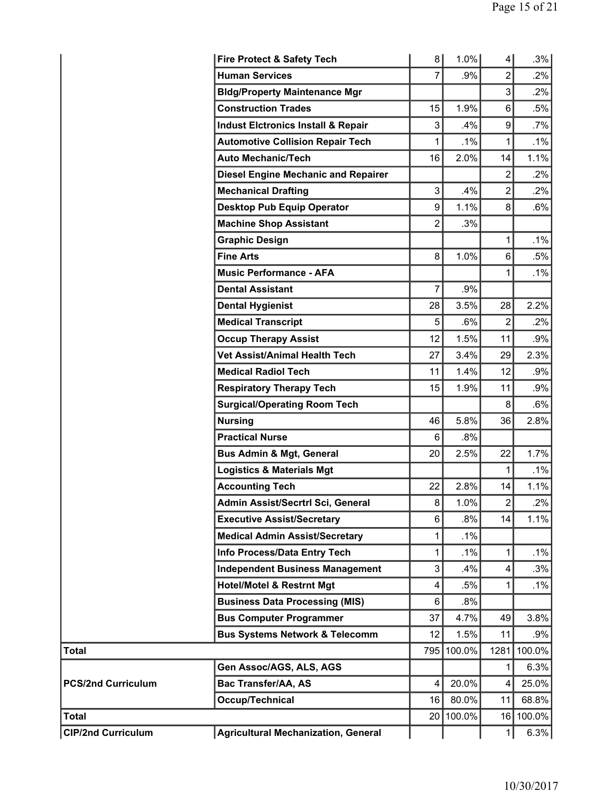|                           | <b>Fire Protect &amp; Safety Tech</b>         | 8                | 1.0%   | $\overline{4}$ | .3%    |
|---------------------------|-----------------------------------------------|------------------|--------|----------------|--------|
|                           | <b>Human Services</b>                         | $\overline{7}$   | .9%    | $\overline{2}$ | $.2\%$ |
|                           | <b>Bldg/Property Maintenance Mgr</b>          |                  |        | 3              | .2%    |
|                           | <b>Construction Trades</b>                    | 15               | 1.9%   | 6              | .5%    |
|                           | <b>Indust Elctronics Install &amp; Repair</b> | 3                | .4%    | 9              | $.7\%$ |
|                           | <b>Automotive Collision Repair Tech</b>       | 1                | .1%    | 1              | .1%    |
|                           | <b>Auto Mechanic/Tech</b>                     | 16               | 2.0%   | 14             | 1.1%   |
|                           | <b>Diesel Engine Mechanic and Repairer</b>    |                  |        | 2              | .2%    |
|                           | <b>Mechanical Drafting</b>                    | 3                | .4%    | $\overline{2}$ | .2%    |
|                           | <b>Desktop Pub Equip Operator</b>             | $\boldsymbol{9}$ | 1.1%   | 8              | .6%    |
|                           | <b>Machine Shop Assistant</b>                 | $\overline{2}$   | .3%    |                |        |
|                           | <b>Graphic Design</b>                         |                  |        | 1              | .1%    |
|                           | <b>Fine Arts</b>                              | 8                | 1.0%   | 6              | .5%    |
|                           | <b>Music Performance - AFA</b>                |                  |        | 1              | .1%    |
|                           | <b>Dental Assistant</b>                       | 7                | .9%    |                |        |
|                           | <b>Dental Hygienist</b>                       | 28               | 3.5%   | 28             | 2.2%   |
|                           | <b>Medical Transcript</b>                     | 5                | .6%    | $\overline{2}$ | .2%    |
|                           | <b>Occup Therapy Assist</b>                   | 12               | 1.5%   | 11             | .9%    |
|                           | Vet Assist/Animal Health Tech                 | 27               | 3.4%   | 29             | 2.3%   |
|                           | <b>Medical Radiol Tech</b>                    | 11               | 1.4%   | 12             | .9%    |
|                           | <b>Respiratory Therapy Tech</b>               | 15               | 1.9%   | 11             | .9%    |
|                           | <b>Surgical/Operating Room Tech</b>           |                  |        | 8              | .6%    |
|                           | <b>Nursing</b>                                | 46               | 5.8%   | 36             | 2.8%   |
|                           | <b>Practical Nurse</b>                        | 6                | .8%    |                |        |
|                           | <b>Bus Admin &amp; Mgt, General</b>           | 20               | 2.5%   | 22             | 1.7%   |
|                           | <b>Logistics &amp; Materials Mgt</b>          |                  |        | 1              | .1%    |
|                           | <b>Accounting Tech</b>                        | 22               | 2.8%   | 14             | 1.1%   |
|                           | Admin Assist/Secrtrl Sci, General             | $\bf 8$          | 1.0%   | $\overline{c}$ | .2%    |
|                           | <b>Executive Assist/Secretary</b>             | 6                | $.8\%$ | 14             | 1.1%   |
|                           | <b>Medical Admin Assist/Secretary</b>         | 1                | .1%    |                |        |
|                           | Info Process/Data Entry Tech                  | 1                | .1%    | 1              | .1%    |
|                           | <b>Independent Business Management</b>        | 3                | .4%    | 4              | .3%    |
|                           | <b>Hotel/Motel &amp; Restrnt Mgt</b>          | 4                | .5%    | 1              | .1%    |
|                           | <b>Business Data Processing (MIS)</b>         | $6\phantom{1}$   | $.8\%$ |                |        |
|                           | <b>Bus Computer Programmer</b>                | 37               | 4.7%   | 49             | 3.8%   |
|                           | <b>Bus Systems Network &amp; Telecomm</b>     | 12               | 1.5%   | 11             | .9%    |
| <b>Total</b>              |                                               | 795              | 100.0% | 1281           | 100.0% |
|                           | Gen Assoc/AGS, ALS, AGS                       |                  |        | 1              | 6.3%   |
| <b>PCS/2nd Curriculum</b> | Bac Transfer/AA, AS                           | 4                | 20.0%  | 4              | 25.0%  |
|                           | Occup/Technical                               | 16               | 80.0%  | 11             | 68.8%  |
| <b>Total</b>              |                                               | 20               | 100.0% | 16             | 100.0% |
| <b>CIP/2nd Curriculum</b> | <b>Agricultural Mechanization, General</b>    |                  |        | 1              | 6.3%   |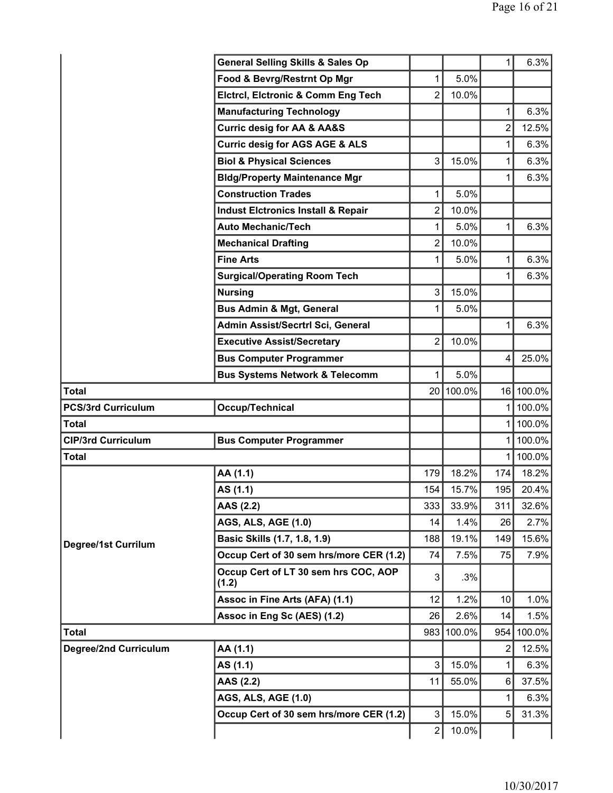|                              | <b>General Selling Skills &amp; Sales Op</b>  |                 |        | 1              | 6.3%      |
|------------------------------|-----------------------------------------------|-----------------|--------|----------------|-----------|
|                              | Food & Bevrg/Restrnt Op Mgr                   | 1               | 5.0%   |                |           |
|                              | <b>Elctrcl, Elctronic &amp; Comm Eng Tech</b> | $\overline{2}$  | 10.0%  |                |           |
|                              | <b>Manufacturing Technology</b>               |                 |        | 1              | 6.3%      |
|                              | <b>Curric desig for AA &amp; AA&amp;S</b>     |                 |        | $\overline{2}$ | 12.5%     |
|                              | <b>Curric desig for AGS AGE &amp; ALS</b>     |                 |        | 1              | 6.3%      |
|                              | <b>Biol &amp; Physical Sciences</b>           | 3               | 15.0%  | 1              | 6.3%      |
|                              | <b>Bldg/Property Maintenance Mgr</b>          |                 |        | 1              | 6.3%      |
|                              | <b>Construction Trades</b>                    | 1               | 5.0%   |                |           |
|                              | <b>Indust Elctronics Install &amp; Repair</b> | $\overline{2}$  | 10.0%  |                |           |
|                              | <b>Auto Mechanic/Tech</b>                     | $\mathbf{1}$    | 5.0%   | 1              | 6.3%      |
|                              | <b>Mechanical Drafting</b>                    | $\overline{2}$  | 10.0%  |                |           |
|                              | <b>Fine Arts</b>                              | 1               | 5.0%   | 1              | 6.3%      |
|                              | <b>Surgical/Operating Room Tech</b>           |                 |        | 1              | 6.3%      |
|                              | <b>Nursing</b>                                | 3               | 15.0%  |                |           |
|                              | <b>Bus Admin &amp; Mgt, General</b>           | 1               | 5.0%   |                |           |
|                              | Admin Assist/Secrtrl Sci, General             |                 |        | 1              | 6.3%      |
|                              | <b>Executive Assist/Secretary</b>             | $\overline{2}$  | 10.0%  |                |           |
|                              | <b>Bus Computer Programmer</b>                |                 |        | 4              | 25.0%     |
|                              | <b>Bus Systems Network &amp; Telecomm</b>     | 1               | 5.0%   |                |           |
| <b>Total</b>                 |                                               | 20 <sub>1</sub> | 100.0% |                | 16 100.0% |
| <b>PCS/3rd Curriculum</b>    | Occup/Technical                               |                 |        | 1              | 100.0%    |
| <b>Total</b>                 |                                               |                 |        | 1              | 100.0%    |
| <b>CIP/3rd Curriculum</b>    | <b>Bus Computer Programmer</b>                |                 |        | 1              | 100.0%    |
| <b>Total</b>                 |                                               |                 |        | 1              | 100.0%    |
|                              | AA (1.1)                                      | 179             | 18.2%  | 174            | 18.2%     |
|                              | AS (1.1)                                      | 154             | 15.7%  | 195            | 20.4%     |
|                              | AAS (2.2)                                     | 333             | 33.9%  | 311            | 32.6%     |
|                              | <b>AGS, ALS, AGE (1.0)</b>                    | 14              | 1.4%   | 26             | 2.7%      |
| Degree/1st Currilum          | Basic Skills (1.7, 1.8, 1.9)                  | 188             | 19.1%  | 149            | 15.6%     |
|                              | Occup Cert of 30 sem hrs/more CER (1.2)       | 74              | 7.5%   | 75             | 7.9%      |
|                              | Occup Cert of LT 30 sem hrs COC, AOP<br>(1.2) | 3               | .3%    |                |           |
|                              | Assoc in Fine Arts (AFA) (1.1)                | 12              | 1.2%   | 10             | 1.0%      |
|                              | Assoc in Eng Sc (AES) (1.2)                   | 26              | 2.6%   | 14             | 1.5%      |
| <b>Total</b>                 |                                               | 983             | 100.0% | 954            | 100.0%    |
| <b>Degree/2nd Curriculum</b> | AA (1.1)                                      |                 |        | 2              | 12.5%     |
|                              | AS (1.1)                                      | 3               | 15.0%  | 1              | 6.3%      |
|                              | AAS (2.2)                                     | 11              | 55.0%  | $\,6$          | 37.5%     |
|                              | <b>AGS, ALS, AGE (1.0)</b>                    |                 |        | 1              | 6.3%      |
|                              | Occup Cert of 30 sem hrs/more CER (1.2)       | 3               | 15.0%  | 5              | 31.3%     |
|                              |                                               | $\overline{2}$  | 10.0%  |                |           |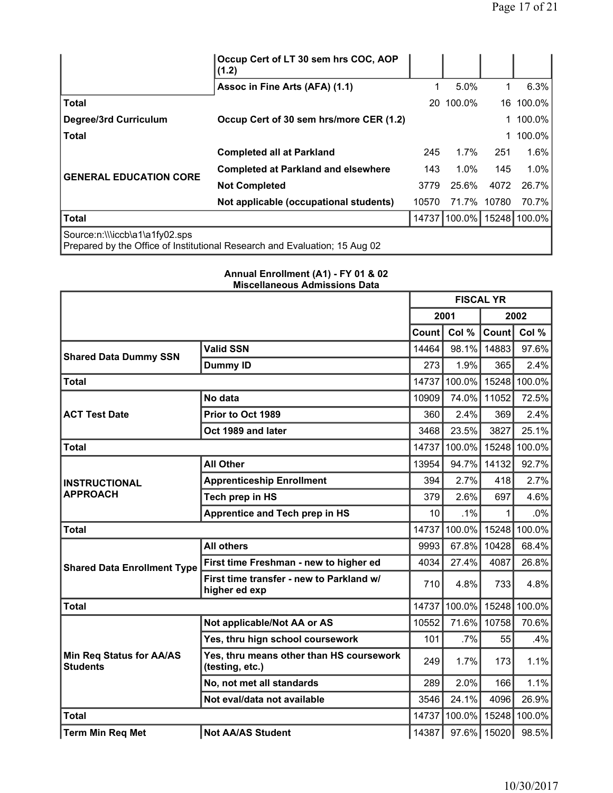|                                                                                                              | Occup Cert of LT 30 sem hrs COC, AOP<br>(1.2) |       |              |       |              |  |
|--------------------------------------------------------------------------------------------------------------|-----------------------------------------------|-------|--------------|-------|--------------|--|
|                                                                                                              | Assoc in Fine Arts (AFA) (1.1)                |       | 5.0%         | 1     | $6.3\%$      |  |
| <b>Total</b>                                                                                                 |                                               |       | 20 100.0%    | 16    | 100.0%       |  |
| Degree/3rd Curriculum                                                                                        | Occup Cert of 30 sem hrs/more CER (1.2)       |       |              |       | 100.0%       |  |
| <b>Total</b>                                                                                                 |                                               |       |              |       | 100.0%       |  |
|                                                                                                              | <b>Completed all at Parkland</b>              | 245   | $1.7\%$      | 251   | 1.6%         |  |
| <b>GENERAL EDUCATION CORE</b>                                                                                | <b>Completed at Parkland and elsewhere</b>    | 143   | $1.0\%$      | 145   | 1.0%         |  |
|                                                                                                              | <b>Not Completed</b>                          | 3779  | 25.6%        | 4072  | 26.7%        |  |
|                                                                                                              | Not applicable (occupational students)        | 10570 | 71.7%        | 10780 | 70.7%        |  |
| <b>Total</b>                                                                                                 |                                               |       | 14737 100.0% |       | 15248 100.0% |  |
| Source:n:\\\iccb\a1\a1fy02.sps<br>Prepared by the Office of Institutional Research and Evaluation; 15 Aug 02 |                                               |       |              |       |              |  |

|                                                    |                                                             | <b>FISCAL YR</b> |                       |       |                     |
|----------------------------------------------------|-------------------------------------------------------------|------------------|-----------------------|-------|---------------------|
|                                                    |                                                             |                  | 2001                  | 2002  |                     |
|                                                    |                                                             | Count            | Col %                 | Count | Col %               |
| <b>Shared Data Dummy SSN</b>                       | <b>Valid SSN</b>                                            | 14464            | 98.1%                 | 14883 | 97.6%               |
|                                                    | <b>Dummy ID</b>                                             | 273              | 1.9%                  | 365   | 2.4%                |
| <b>Total</b>                                       |                                                             | 14737            | $100.0\%$             |       | 15248 100.0%        |
|                                                    | No data                                                     | 10909            | 74.0%                 | 11052 | 72.5%               |
| <b>ACT Test Date</b>                               | Prior to Oct 1989                                           | 360              | 2.4%                  | 369   | 2.4%                |
|                                                    | Oct 1989 and later                                          | 3468             | 23.5%                 | 3827  | 25.1%               |
| <b>Total</b>                                       |                                                             | 14737            | 100.0%                |       | 15248 100.0%        |
|                                                    | <b>All Other</b>                                            | 13954            | 94.7%                 | 14132 | 92.7%               |
| <b>INSTRUCTIONAL</b>                               | <b>Apprenticeship Enrollment</b>                            | 394              | 2.7%                  | 418   | 2.7%                |
| <b>APPROACH</b>                                    | Tech prep in HS                                             | 379              | 2.6%                  | 697   | 4.6%                |
|                                                    | <b>Apprentice and Tech prep in HS</b>                       | 10               | .1%                   | 1     | $.0\%$              |
| <b>Total</b>                                       |                                                             | 14737            | 100.0%                |       | 15248 100.0%        |
|                                                    | <b>All others</b>                                           | 9993             | 67.8%                 | 10428 | 68.4%               |
| <b>Shared Data Enrollment Type</b>                 | First time Freshman - new to higher ed                      | 4034             | 27.4%                 | 4087  | 26.8%               |
|                                                    | First time transfer - new to Parkland w/<br>higher ed exp   | 710              | 4.8%                  | 733   | 4.8%                |
| <b>Total</b>                                       |                                                             | 14737            |                       |       | 100.0% 15248 100.0% |
|                                                    | Not applicable/Not AA or AS                                 | 10552            | 71.6%                 | 10758 | 70.6%               |
|                                                    | Yes, thru hign school coursework                            | 101              | .7%                   | 55    | .4%                 |
| <b>Min Req Status for AA/AS</b><br><b>Students</b> | Yes, thru means other than HS coursework<br>(testing, etc.) | 249              | 1.7%                  | 173   | 1.1%                |
|                                                    | No, not met all standards                                   | 289              | 2.0%                  | 166   | 1.1%                |
|                                                    | Not eval/data not available                                 | 3546             | 24.1%                 | 4096  | 26.9%               |
| <b>Total</b>                                       |                                                             | 14737            |                       |       | 100.0% 15248 100.0% |
| <b>Term Min Req Met</b>                            | <b>Not AA/AS Student</b>                                    |                  | 14387   97.6%   15020 |       | 98.5%               |

### **Annual Enrollment (A1) - FY 01 & 02 Miscellaneous Admissions Data**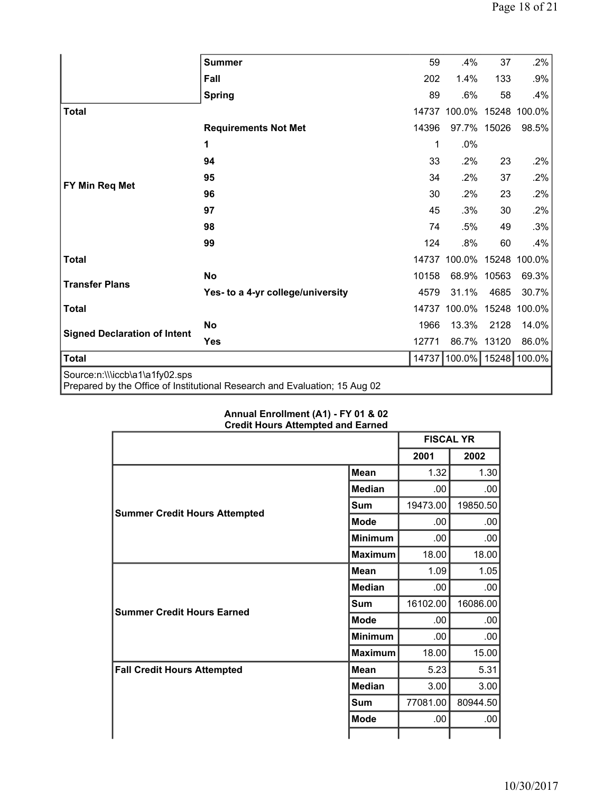|                                                                                                              | <b>Summer</b>                     | 59    | .4%                       | 37          | .2%          |  |  |  |
|--------------------------------------------------------------------------------------------------------------|-----------------------------------|-------|---------------------------|-------------|--------------|--|--|--|
|                                                                                                              |                                   |       |                           |             |              |  |  |  |
|                                                                                                              | Fall                              | 202   | 1.4%                      | 133         | .9%          |  |  |  |
|                                                                                                              | <b>Spring</b>                     | 89    | .6%                       | 58          | .4%          |  |  |  |
| <b>Total</b>                                                                                                 |                                   | 14737 | 100.0%                    |             | 15248 100.0% |  |  |  |
|                                                                                                              | <b>Requirements Not Met</b>       | 14396 | 97.7% 15026               |             | 98.5%        |  |  |  |
|                                                                                                              | 1                                 | 1     | .0%                       |             |              |  |  |  |
|                                                                                                              | 94                                | 33    | .2%                       | 23          | .2%          |  |  |  |
|                                                                                                              | 95                                | 34    | $.2\%$                    | 37          | .2%          |  |  |  |
| FY Min Req Met                                                                                               | 96                                | 30    | $.2\%$                    | 23          | .2%          |  |  |  |
|                                                                                                              | 97                                | 45    | .3%                       | 30          | .2%          |  |  |  |
|                                                                                                              | 98                                | 74    | .5%                       | 49          | .3%          |  |  |  |
|                                                                                                              | 99                                | 124   | .8%                       | 60          | .4%          |  |  |  |
| <b>Total</b>                                                                                                 |                                   |       | 14737 100.0% 15248 100.0% |             |              |  |  |  |
| <b>Transfer Plans</b>                                                                                        | <b>No</b>                         | 10158 |                           | 68.9% 10563 | 69.3%        |  |  |  |
|                                                                                                              | Yes- to a 4-yr college/university | 4579  | 31.1%                     | 4685        | 30.7%        |  |  |  |
| <b>Total</b>                                                                                                 |                                   | 14737 | 100.0%                    | 15248       | 100.0%       |  |  |  |
| <b>Signed Declaration of Intent</b>                                                                          | <b>No</b>                         | 1966  | 13.3%                     | 2128        | 14.0%        |  |  |  |
|                                                                                                              | <b>Yes</b>                        | 12771 | 86.7% 13120               |             | 86.0%        |  |  |  |
| <b>Total</b>                                                                                                 |                                   |       | 14737 100.0% 15248 100.0% |             |              |  |  |  |
| Source:n:\\\iccb\a1\a1fy02.sps<br>Prepared by the Office of Institutional Research and Evaluation; 15 Aug 02 |                                   |       |                           |             |              |  |  |  |

### **Annual Enrollment (A1) - FY 01 & 02 Credit Hours Attempted and Earned**

|                                      |                | <b>FISCAL YR</b> |          |
|--------------------------------------|----------------|------------------|----------|
|                                      |                | 2001             | 2002     |
|                                      | <b>Mean</b>    | 1.32             | 1.30     |
|                                      | <b>Median</b>  | .00              | $.00 \,$ |
|                                      | <b>Sum</b>     | 19473.00         | 19850.50 |
| <b>Summer Credit Hours Attempted</b> | <b>Mode</b>    | .00              | $.00 \,$ |
|                                      | <b>Minimum</b> | .00              | $.00 \,$ |
|                                      | <b>Maximum</b> | 18.00            | 18.00    |
|                                      | Mean           | 1.09             | 1.05     |
|                                      | <b>Median</b>  | .00              | $.00 \,$ |
| <b>Summer Credit Hours Earned</b>    | Sum            | 16102.00         | 16086.00 |
|                                      | <b>Mode</b>    | .00.             | $.00 \,$ |
|                                      | <b>Minimum</b> | .00              | $.00 \,$ |
|                                      | <b>Maximum</b> | 18.00            | 15.00    |
| <b>Fall Credit Hours Attempted</b>   | <b>Mean</b>    | 5.23             | 5.31     |
|                                      | <b>Median</b>  | 3.00             | 3.00     |
|                                      | Sum            | 77081.00         | 80944.50 |
|                                      | <b>Mode</b>    | .00              | $.00 \,$ |
|                                      |                |                  |          |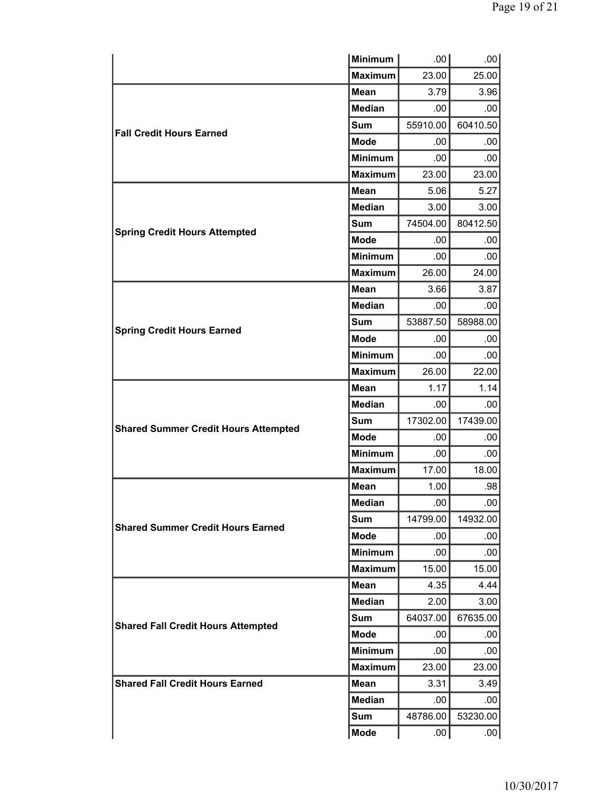|                                             | <b>Minimum</b> | .00      | .00.             |
|---------------------------------------------|----------------|----------|------------------|
|                                             | <b>Maximum</b> | 23.00    | 25.00            |
|                                             | <b>Mean</b>    | 3.79     | 3.96             |
|                                             | <b>Median</b>  | .00      | .00              |
| <b>Fall Credit Hours Earned</b>             | Sum            | 55910.00 | 60410.50         |
|                                             | <b>Mode</b>    | .00      | .00              |
|                                             | <b>Minimum</b> | .00      | .00              |
|                                             | <b>Maximum</b> | 23.00    | 23.00            |
|                                             | <b>Mean</b>    | 5.06     | 5.27             |
|                                             | <b>Median</b>  | 3.00     | 3.00             |
|                                             | Sum            | 74504.00 | 80412.50         |
| <b>Spring Credit Hours Attempted</b>        | <b>Mode</b>    | .00      | .00              |
|                                             | <b>Minimum</b> | .00.     | .00              |
|                                             | <b>Maximum</b> | 26.00    | 24.00            |
|                                             | <b>Mean</b>    | 3.66     | 3.87             |
|                                             | <b>Median</b>  | .00      | .00              |
|                                             | Sum            | 53887.50 | 58988.00         |
| <b>Spring Credit Hours Earned</b>           | <b>Mode</b>    | .00      | .00              |
|                                             | <b>Minimum</b> | .00      | .00.             |
|                                             | <b>Maximum</b> | 26.00    | 22.00            |
|                                             | <b>Mean</b>    | 1.17     | 1.14             |
|                                             | <b>Median</b>  | .00      | .00              |
| <b>Shared Summer Credit Hours Attempted</b> | <b>Sum</b>     | 17302.00 | 17439.00         |
|                                             | <b>Mode</b>    | .00      | .00              |
|                                             | <b>Minimum</b> | .00.     | .00              |
|                                             | <b>Maximum</b> | 17.00    | 18.00            |
|                                             | Mean           | 1.00     | .98              |
|                                             | <b>Median</b>  | .00.     | .00.             |
| <b>Shared Summer Credit Hours Earned</b>    | Sum            | 14799.00 | 14932.00         |
|                                             | Mode           | .00      | .00              |
|                                             | <b>Minimum</b> | .00      | .00.             |
|                                             | <b>Maximum</b> | 15.00    | 15.00            |
|                                             | <b>Mean</b>    | 4.35     | 4.44             |
|                                             | Median         | 2.00     | 3.00             |
| <b>Shared Fall Credit Hours Attempted</b>   | Sum            | 64037.00 | 67635.00         |
|                                             | <b>Mode</b>    | .00      | .00              |
|                                             | <b>Minimum</b> | .00.     | .00              |
|                                             | <b>Maximum</b> | 23.00    | 23.00            |
| <b>Shared Fall Credit Hours Earned</b>      | <b>Mean</b>    | 3.31     | 3.49             |
|                                             | <b>Median</b>  | .00.     | .00.             |
|                                             | Sum            | 48786.00 | 53230.00         |
|                                             | <b>Mode</b>    | .00      | .00 <sub>1</sub> |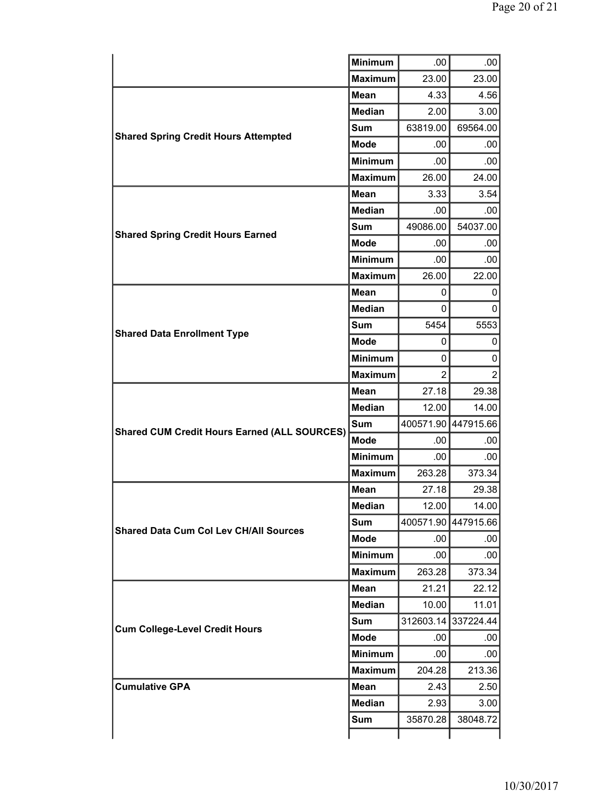|                                                     | <b>Minimum</b> | .00            | .00                 |
|-----------------------------------------------------|----------------|----------------|---------------------|
|                                                     | <b>Maximum</b> | 23.00          | 23.00               |
|                                                     | <b>Mean</b>    | 4.33           | 4.56                |
|                                                     | <b>Median</b>  | 2.00           | 3.00                |
|                                                     | <b>Sum</b>     | 63819.00       | 69564.00            |
| <b>Shared Spring Credit Hours Attempted</b>         | <b>Mode</b>    | .00            | .00                 |
|                                                     | <b>Minimum</b> | .00.           | .00                 |
|                                                     | <b>Maximum</b> | 26.00          | 24.00               |
|                                                     | <b>Mean</b>    | 3.33           | 3.54                |
|                                                     | <b>Median</b>  | .00.           | .00                 |
|                                                     | <b>Sum</b>     | 49086.00       | 54037.00            |
| <b>Shared Spring Credit Hours Earned</b>            | <b>Mode</b>    | .00            | .00.                |
|                                                     | <b>Minimum</b> | .00            | .00                 |
|                                                     | <b>Maximum</b> | 26.00          | 22.00               |
|                                                     | <b>Mean</b>    | 0              | 0                   |
|                                                     | <b>Median</b>  | 0              | 0                   |
| <b>Shared Data Enrollment Type</b>                  | Sum            | 5454           | 5553                |
|                                                     | <b>Mode</b>    | 0              | 0                   |
|                                                     | <b>Minimum</b> | 0              | 0                   |
|                                                     | <b>Maximum</b> | $\overline{2}$ | $\overline{2}$      |
|                                                     | <b>Mean</b>    | 27.18          | 29.38               |
|                                                     | <b>Median</b>  | 12.00          | 14.00               |
| <b>Shared CUM Credit Hours Earned (ALL SOURCES)</b> | Sum            |                | 400571.90 447915.66 |
|                                                     | <b>Mode</b>    | .00            | .00.                |
|                                                     | <b>Minimum</b> | .00            | .00.                |
|                                                     | <b>Maximum</b> | 263.28         | 373.34              |
|                                                     | <b>Mean</b>    | 27.18          | 29.38               |
|                                                     | <b>Median</b>  | 12.00          | 14.00               |
| <b>Shared Data Cum Col Lev CH/All Sources</b>       | <b>Sum</b>     |                | 400571.90 447915.66 |
|                                                     | <b>Mode</b>    | .00            | .00                 |
|                                                     | <b>Minimum</b> | .00            | .00                 |
|                                                     | <b>Maximum</b> | 263.28         | 373.34              |
|                                                     | <b>Mean</b>    | 21.21          | 22.12               |
|                                                     | <b>Median</b>  | 10.00          | 11.01               |
| <b>Cum College-Level Credit Hours</b>               | Sum            |                | 312603.14 337224.44 |
|                                                     | <b>Mode</b>    | .00            | .00                 |
|                                                     | <b>Minimum</b> | .00.           | .00                 |
|                                                     | <b>Maximum</b> | 204.28         | 213.36              |
| <b>Cumulative GPA</b>                               | <b>Mean</b>    | 2.43           | 2.50                |
|                                                     | <b>Median</b>  | 2.93           | 3.00                |
|                                                     | Sum            | 35870.28       | 38048.72            |
|                                                     |                |                |                     |